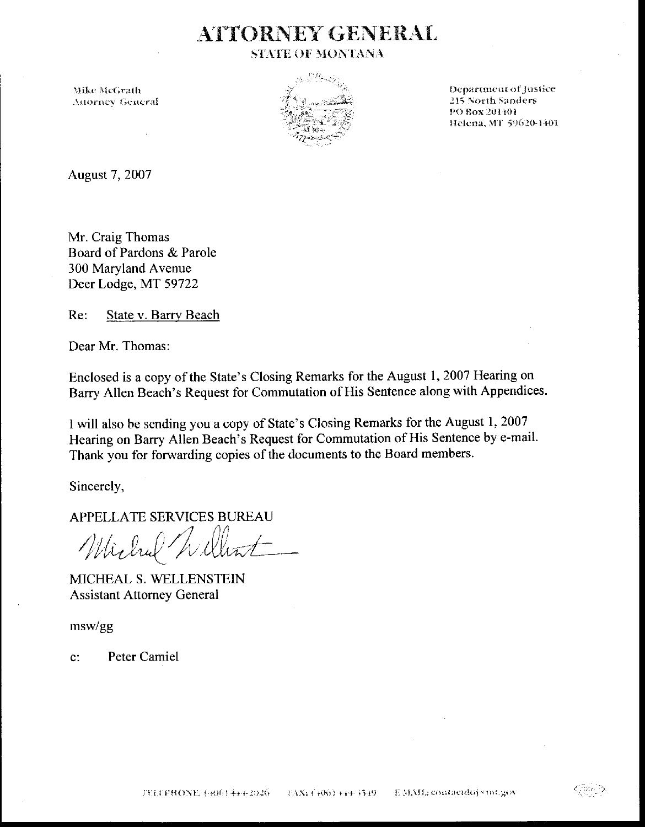### **ATTORNEY GENERAL STATE OF MONTANA**

Mike McGrath **Attorney General** 



Department of Justice **215 North Sanders** PO Box 201401 Helena, MT 59620-1401

August 7, 2007

Mr. Craig Thomas Board of Pardons & Parole 300 Maryland Avenue Deer Lodge, MT 59722

Re: State v. Barry Beach

Dear Mr. Thomas:

Enclosed is a copy of the State's Closing Remarks for the August 1, 2007 Hearing on Barry Allen Beach's Request for Commutation of His Sentence along with Appendices.

I will also be sending you a copy of State's Closing Remarks for the August 1, 2007 Hearing on Barry Allen Beach's Request for Commutation of His Sentence by e-mail. Thank you for forwarding copies of the documents to the Board members.

Sincerely,

APPELLATE SERVICES BUREAU

Wichal

MICHEAL S. WELLENSTEIN **Assistant Attorney General** 

 $msw/gg$ 

Peter Camiel  $\mathbf{C}^*$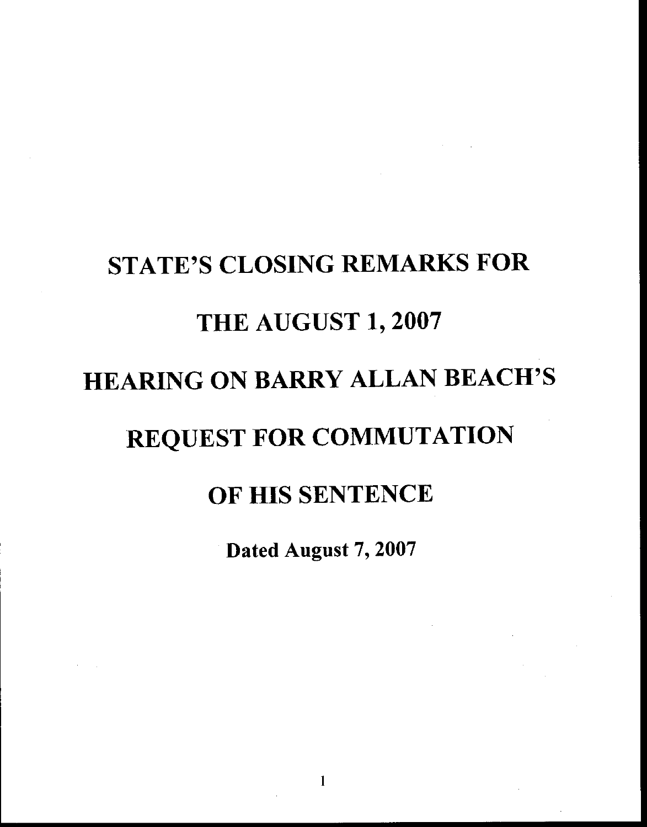# STATE'S CLOSING REMARKS FOR THE AUGUST 1, 2OO7 HEARING ON BARRY ALLAN BEACH'S REQUEST FOR COMMUTATION OF HIS SENTENCE

Dated August 7,2007

 $\mathbf{1}$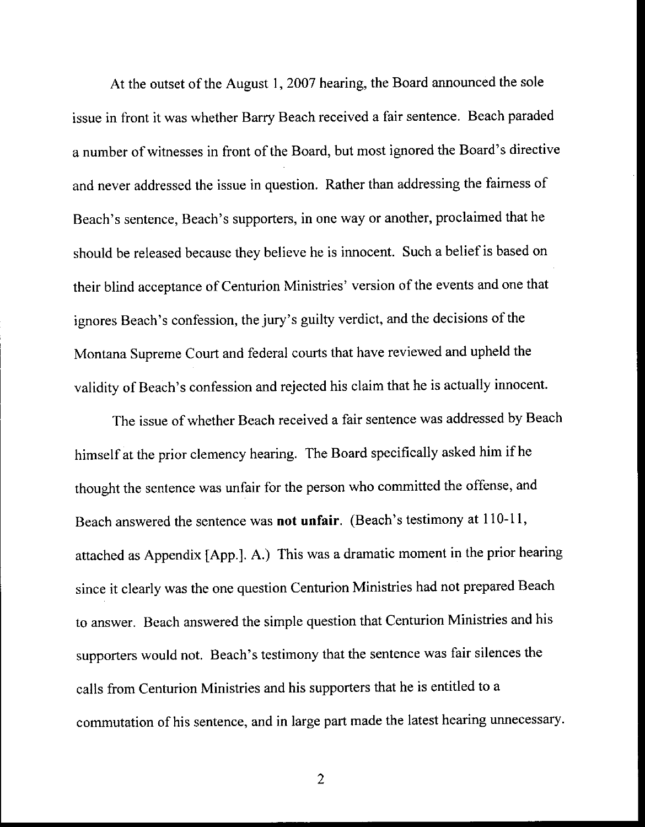At the outset of the August 1,2007 hearing, the Board announced the sole issue in front it was whether Barry Beach received a fair sentence. Beach paraded a number of witnesses in front of the Board, but most ignored the Board's directive and never addressed the issue in question. Rather than addressing the faimess of Beach's sentence, Beach's supporters, in one way or another, proclaimed that he should be released because they believe he is innocent. Such a belief is based on their blind acceptance of Centurion Ministries' version of the events and one that ignores Beach's confession, the jury's guilty verdict, and the decisions of the Montana Supreme Court and federal courts that have reviewed and upheld the validity of Beach's confession and rejected his claim that he is actually innocent.

The issue of whether Beach received a fair sentence was addressed by Beach himself at the prior clemency hearing. The Board specifically asked him if he thought the sentence was unfair for the person who committed the offense, and Beach answered the sentence was not unfair. (Beach's testimony at 110-11, attached as Appendix [App.]. A.) This was a dramatic moment in the prior hearing since it clearly was the one question Centurion Ministries had not prepared Beach to answer. Bcach answered the simple question that Centurion Ministries and his suppofters would not. Beach's testimony that the sentence was fair silences the calls from Centurion Ministries and his supporters that he is entitled to a commutation of his sentence, and in large part made the latest hearing unnecessary.

 $\overline{2}$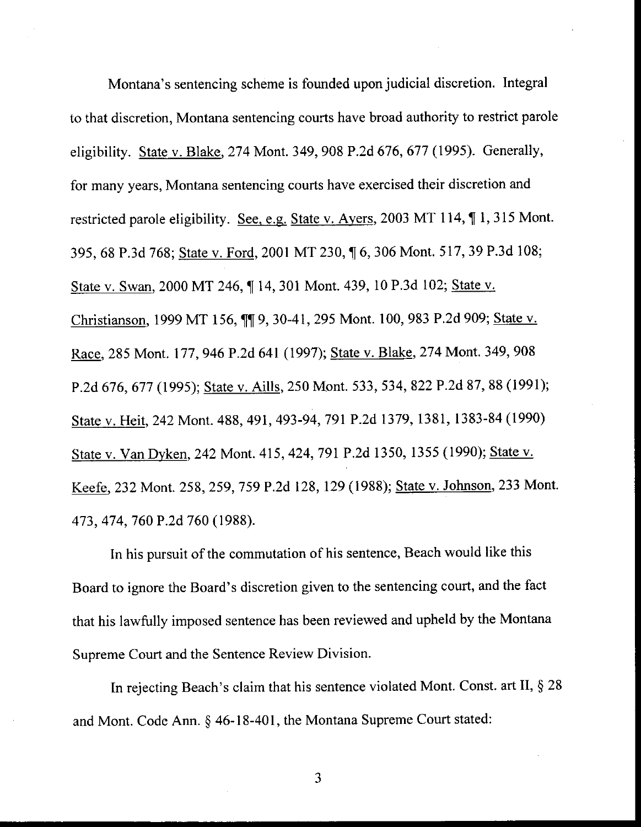Montana's sentencing scheme is founded upon judicial discretion. Integral to that discretion, Montana sentencing courts have broad authority to restrict parole eligibility. State v. Blake, 274 Mont. 349, 908 P.2d 676, 677 (1995). Generally, for many years, Montana sentencing courts have exercised their discretion and restricted parole eligibility. See, e.g. State v. Ayers, 2003 MT 114,  $\P$  1, 315 Mont. 395, 68 P.3d 768; State v. Ford, 2001 MT 230,1[6,306 Mont. 517,39 P.3d 108; State v. Swan, 2000 MT 246,  $\P$  14, 301 Mont. 439, 10 P.3d 102; State v. Christianson, 1999 MT 156, 119, 30-41, 295 Mont. 100, 983 P.2d 909; State v. Race, 285 Mont. 177, 946 P.2d 641 (1997); State v. Blake, 274 Mont. 349, 908 P.2d 676, 677 (1995); State v. Aills, 250 Mont. 533, 534, 822 P.2d 87, 88 (1991); State v. Heit, 242 Mont. 488, 491, 493-94, 791 P.2d 1379, 1381, 1383-84 (1990) State v. Van Dyken, 242 Mont. 415, 424, 791 P.2d 1350, 1355 (1990); State v. Keefe, 232 Mont. 258, 259, 759 P.2d 128, 129 (1988); State v. Johnson, 233 Mont. 473, 474, 760 P.2d 760 (1988).

In his pursuit of the commutation of his sentence, Beach would like this Board to ignore the Board's discretion given to the sentencing court, and the fact that his lawfully imposed sentence has been reviewed and upheld by the Montana Supreme Court and the Sentence Review Division.

In rejecting Beach's claim that his sentence violated Mont. Const. art II,  $\S 28$ and Mont. Code Ann. § 46-18-401, the Montana Supreme Court stated: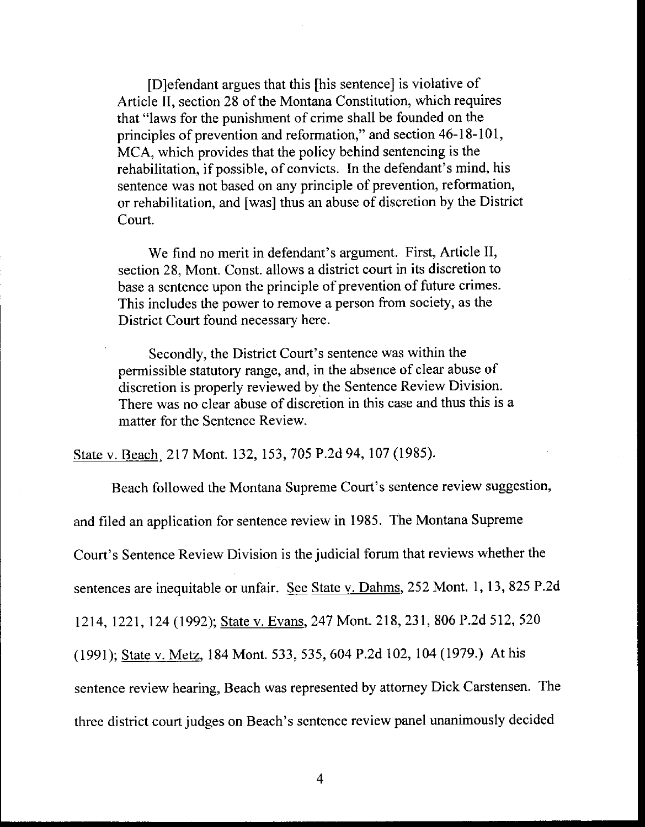[D]efendant argues that this [his sentence] is violative of Article II, section 28 of the Montana Constitution, which requires that "laws for the punishment of crime shall be founded on the principles of prevention and reformation," and section 46-18-101, MCA, which provides that the policy behind sentencing is the rehabilitation, if possible, of convicts. In the defendant's mind, his sentence was not based on any principle of prevention, reformation, or rehabilitation, and [was] thus an abuse of discretion by the District Court.

We find no merit in defendant's argument. First, Article II, section 28, Mont. Const. allows a district court in its discretion to base a sentence upon the principle of prevention of future crimes. This includes the power to remove a person from society, as the District Court found necessary here.

Secondly, the District Court's sentence was within the permissible statutory range, and, in the absence of clear abuse of discretion is properly reviewed by the Sentence Review Division. There was no clear abuse of discretion in this case and thus this is a matter for the Sentence Review.

State v. Beach, 217 Mont. 132, 153, 705 P.2d 94, 107 (1985).

Beach followed the Montana Supreme Court's sentence review suggestion, and filed an application for sentence review in 1985. The Montana Supreme Court's Sentence Review Division is the judicial forum that reviews whether the sentences are inequitable or unfair. See State v. Dahms, 252 Mont. 1, 13, 825 P.2d 1214, 1221, 124 (1992); State v. Evans, 247 Mont. 218, 231, 806 P.2d 512, 520 (1991); State v. Metz, 184 Mont. 533, 535, 604 P.2d 102, 104 (1979.) At his sentence review hearing, Beach was represented by attorney Dick Carstensen. The three district court judges on Beach's sentence review panel unanimously decided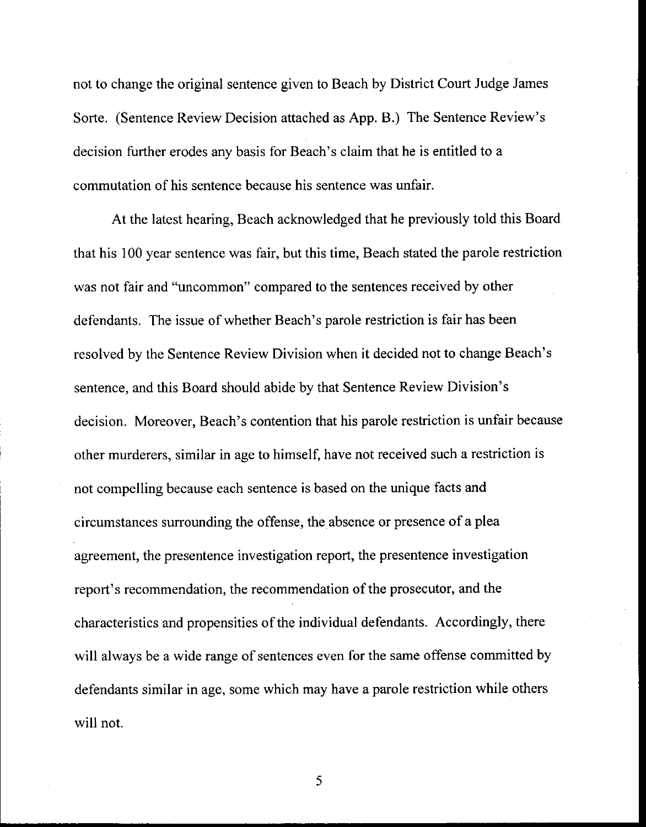not to change the original sentence given to Beach by District Court Judge James Sorte. (Sentence Review Decision attached as App. B.) The Sentence Review's decision further erodes any basis for Beach's claim that he is entitled to a commutation of his sentence because his sentence was unfair.

At the latest hearing, Beach acknowledged that he previously told this Board that his 100 year sentence was fair, but this time, Beach stated the parole restriction was not fair and "uncommon" compared to the sentences received by other defendants. The issue of whether Beach's parole restriction is fair has been resolved by the Sentence Review Division when it decided not to change Beach's sentence, and this Board should abide by that Sentence Review Division's decision. Moreover, Beach's contention that his parole restriction is unfair because other murderers, similar in age to himself, have not received such a restriction is not compelling because each sentence is based on the unique facts and circumstances surrounding the offense, the absence or presence of a plea agreement, the presentence investigation report, the presentence investigation report's recommendation, the recommendation of the prosecutor, and the characteristics and propensities of the individual defendants. Accordingly, there will always be a wide range of sentences even for the same offense committed by defendants similar in age, some which may have a parole restriction while others will not.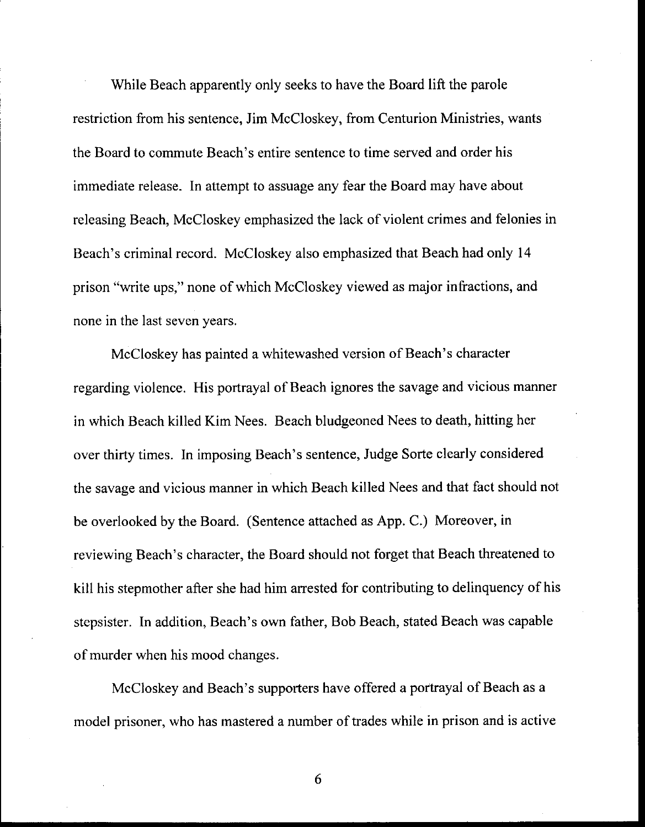While Beach apparently only seeks to have the Board lift the parole restriction from his sentence, Jim McCloskey, from Centurion Ministries, wants the Board to commute Beach's entire sentence to time served and order his immediate release. In attempt to assuage any fear the Board may have about releasing Beach, McCloskey emphasized the Iack of violent crimes and felonies in Beach's criminal record. McCloskey also emphasized that Beach had only l4 prison "write ups," none of which McCloskey viewed as major infractions, and none in the last seven years.

McCloskey has painted a whitewashed version of Beach's character regarding violence. His portrayal of Beach ignores the savage and vicious manner in which Beach killed Kim Nees. Beach bludgeoned Nees to death, hitting her over thirty times. In imposing Beach's sentence, Judge Sorte clearly considered the savage and vicious manner in which Beach killed Nees and that fact should not be overlooked by the Board. (Sentence attached as App. C.) Moreover, in reviewing Beach's character, the Board should not forget that Beach threatened to kill his stepmother after she had him arrested for contributing to delinquency of his stepsister. In addition, Beach's own father, Bob Beach, stated Beach was capable of murder when his mood changes.

McCloskey and Beach's supporters have offered a portrayal of Beach as a model prisoner, who has mastered a number of trades while in prison and is active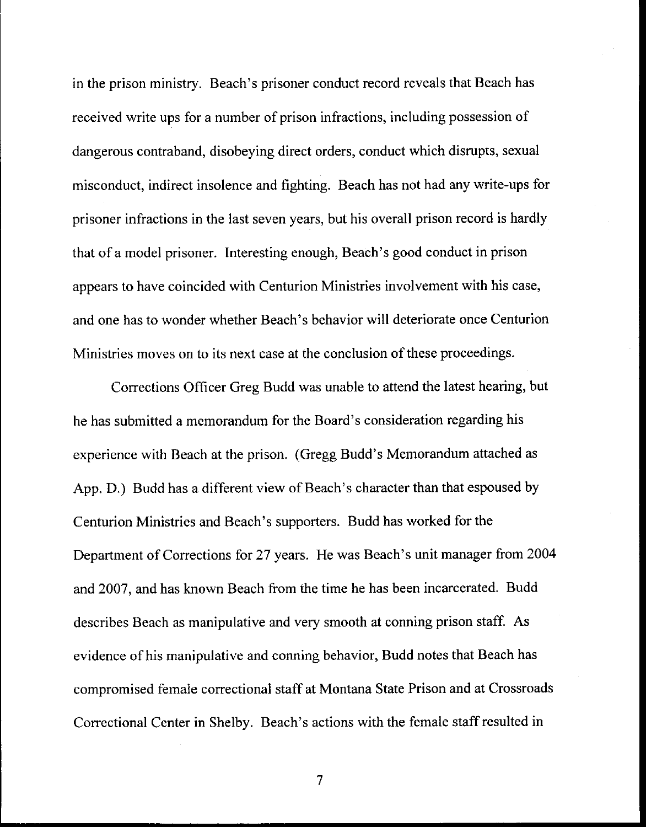in the prison ministry. Beach's prisoner conduct record reveals that Beach has received write ups for a number of prison infractions, including possession of dangerous contraband, disobeying direct orders, conduct which disrupts, sexual misconduct, indirect insolence and fighting. Beach has not had any write-ups for prisoner infractions in the last seven years, but his overall prison record is hardly that of a model prisoner. Interesting enough, Beach's good conduct in prison appears to have coincided with Centurion Ministries involvement with his case, and one has to wonder whether Beach's behavior will deteriorate once Centurion Ministries moves on to its next case at the conclusion of these proceedings.

Corrections Officer Greg Budd was unable to attend the latest hearing, but he has submitted a memorandum for the Board's consideration regarding his experience with Beach at the prison. (Gregg Budd's Memorandum attached as App. D.) Budd has a different view of Beach's character than that espoused by Centurion Ministries and Beach's supporters. Budd has worked for the Department of Corrections for 27 years. He was Beach's unit manager from 2004 and 2007, and has known Beach from the time he has been incarcerated. Budd describes Beach as manipulative and very smooth at conning prison staff. As evidence of his manipulative and conning behavior, Budd notes that Beach has compromised female correctional staff at Montana State Prison and at Crossroads Correctional Center in Shelbv. Beach's actions with the female staff resulted in

 $\overline{7}$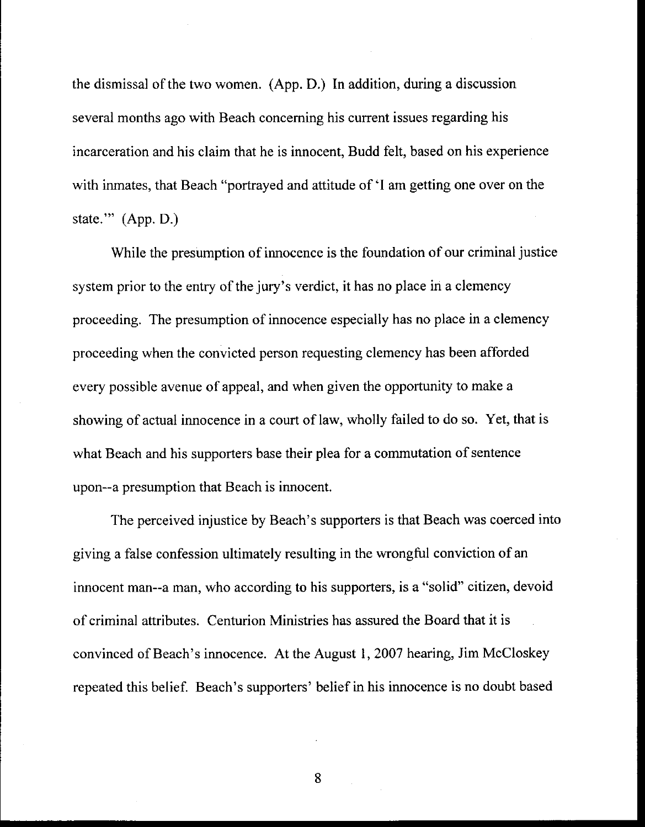the dismissal of the two women. (App. D.) In addition, during a discussion several months ago with Beach conceming his current issues regarding his incarceration and his claim that he is innocent, Budd felt, based on his experience with inmates, that Beach "portrayed and attitude of 'I am getting one over on the state.""  $(App. D.)$ 

While the presumption of innocence is the foundation of our criminal justice system prior to the entry of the jury's verdict, it has no place in a clemency proceeding. The presumption of innocence especially has no place in a clemency proceeding when the convicted person requesting clemency has been afforded every possible avenue of appeal, and when given the opportunity to make a showing of actual innocence in a court of law, wholly failed to do so. Yet, that is what Beach and his supporters base their plea for a commutation of sentence upon--a presumption that Beach is innocent.

The perceived injustice by Beach's supporters is that Beach was coerced into giving a false confession ultimately resulting in the wrongful conviction of an innocent man--a man, who according to his supporters, is a "solid" citizen, devoid of criminal attributes. Centurion Ministries has assured the Board that it is convinced of Beach's innocence. At the August | , 2007 hearing, Jim McCloskey repeated this belief. Beach's supporters' belief in his innocence is no doubt based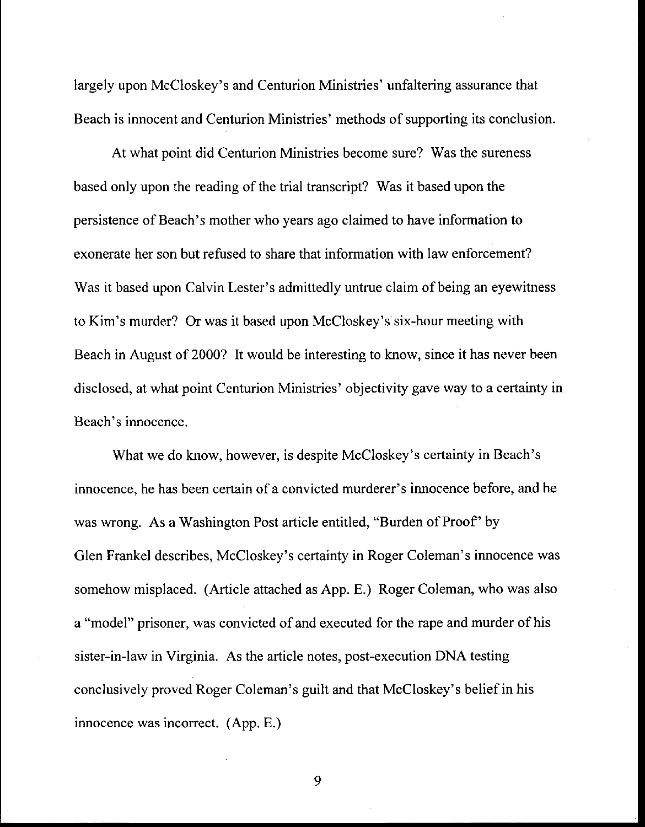largely upon McCloskey's and Centurion Ministries' unfaltering assurance that Beach is innocent and Centurion Ministries' methods of supporting its conclusion.

At what point did Centurion Ministries become sure? Was the sureness based only upon the reading of the trial transcript? Was it based upon the persistence of Beach's mother who years ago claimed to have information to exonerate her son but refused to share that information with law enforcement? Was it based upon Calvin Lester's admittedly untrue claim of being an eyewitness to Kim's murder? Or was it based upon McCloskey's six-hour meeting with Beach in August of 2000? It would be interesting to know, since it has never been disclosed, at what point Centurion Ministries' objectivity gave way to a certainty in Beach's innocence.

What we do know, however, is despite McCloskey's certainty in Beach's innocence, he has been certain of a convicted murderer's innocence before, and he was wrong. As a Washington Post article entitled, "Burden of Proof' by Glen Frankel describes, McCloskey's certainty in Roger Coleman's innocence was somehow misplaced. (Article attached as App. E.) Roger Coleman, who was also a "model" prisoner, was convicted of and executed for the rape and murder of his sister-in-law in Virginia. As the article notes, post-execution DNA testing conclusively proved Roger Coleman's guilt and that McCloskey's belief in his innocence was incorrect. (App. E.)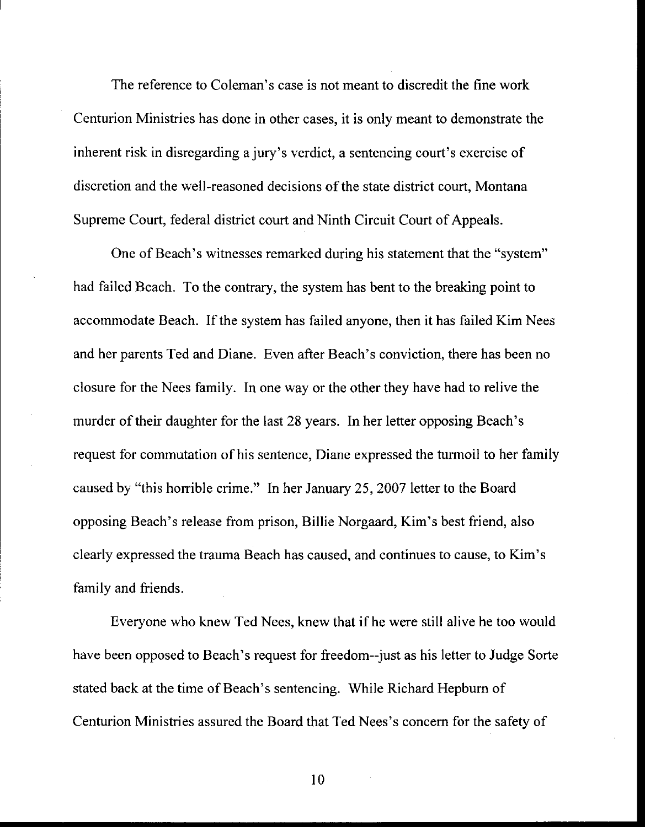The reference to Coleman's case is not meant to discredit the fine work Centurion Ministries has done in other cases, it is only meant to demonstrate the inherent risk in disregarding a jury's verdict, a sentencing court's exercise of discretion and the well-reasoned decisions of the state district court. Montana Supreme Court, federal district court and Ninth Circuit Court of Appeals.

One of Beach's witnesses remarked during his statement that the "system" had failed Beach. To the contrary, the system has bent to the breaking point to accommodate Beach. If the system has failed anyone, then it has failed Kim Nees and her parents Ted and Diane. Even after Beach's conviction, there has been no closure for the Nees family. In one way or the other they have had to relive the murder of their daughter for the last 28 years. In her letter opposing Beach's request for commutation of his sentence, Diane expressed the turmoil to her family caused by "this horrible crime." In her January 25, 2007 letter to the Board opposing Beach's release from prison, Billie Norgaard, Kim's best friend, also clearly expressed the trauma Beach has caused, and continues to cause, to Kim's family and friends.

Everyone who knew Ted Nees, knew that if he were still alive he too would have been opposed to Beach's request for freedom--just as his letter to Judge Sorte stated back at the time of Beach's sentencing. While Richard Hepbum of Centurion Ministries assured the Board that Ted Nees's concem for the safetv of

l0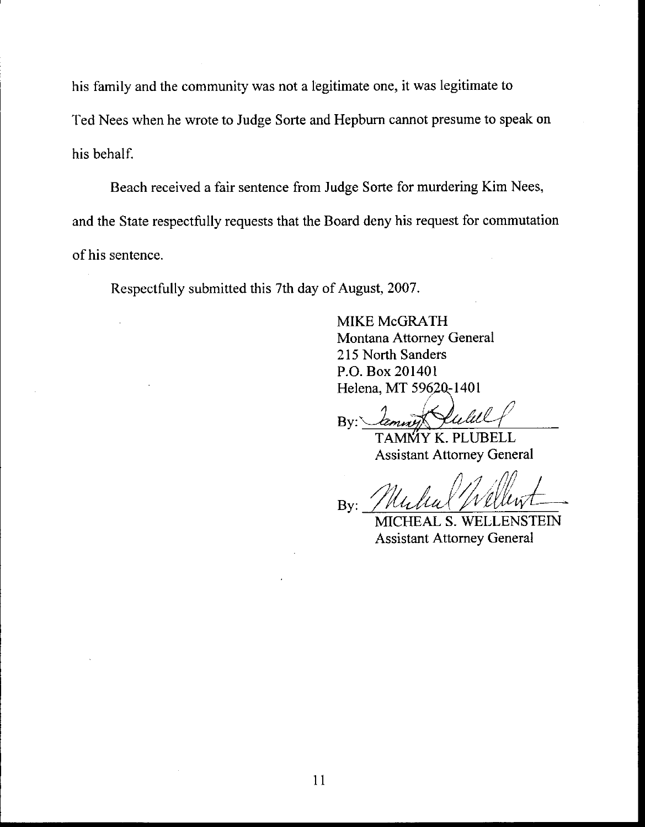his family and the community was not a legitimate one, it was legitimate to Ted Nees when he wrote to Judge Sorte and Hepburn cannot presume to speak on his behalf.

Beach received a fair sentence from Judge Sorte for murdering Kim Nees, and the State respectfully requests that the Board deny his request for commutation of his sentence.

Respectfully submitted this 7th day of August, 2007.

MIKE McGRATH Montana Attomey General 215 North Sanders P.O. Box 201401 Helena, MT 59620-1401

By:

TAMMY K. PLUBELL<br>Assistant Attorney General

By:

MICHEAL S. WELLENSTEIN Assistant Attomey General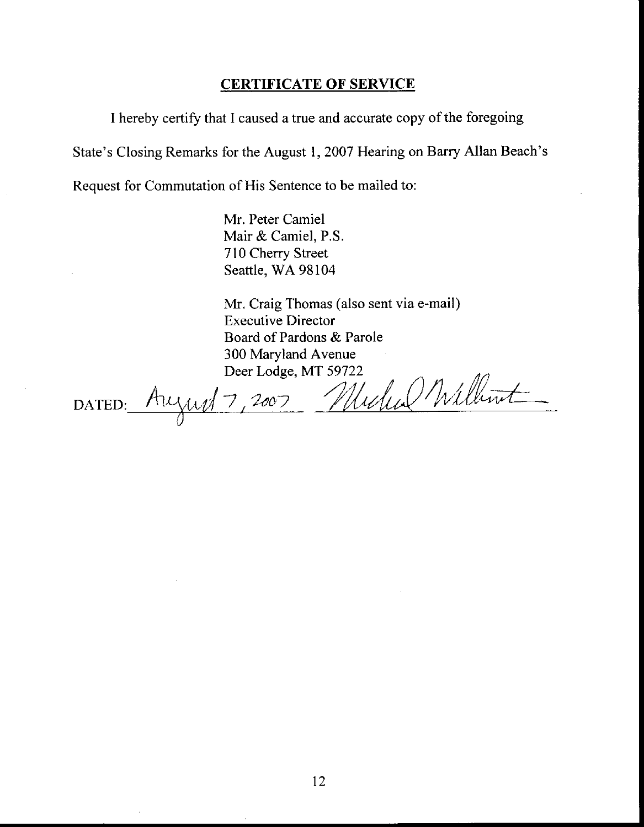#### CERTIFICATE OF SERVICE

I hereby certify that I caused a true and accurate copy of the foregoing

State's Closing Remarks for the August 1,2007 Hearing on Barry Allan Beach's

Request for Commutation of His Sentence to be mailed to:

Mr. Peter Camiel Mair & Camiel, P.S. 710 Cherry Street Seattle, WA 98104

Mr, Craig Thomas (also sent via e-mail) Executive Director Board of Pardons & Parole 300 Maryland Avenue

Deer Lodge, MT 59722<br>August 7, 2007 Michael Millimt DATED: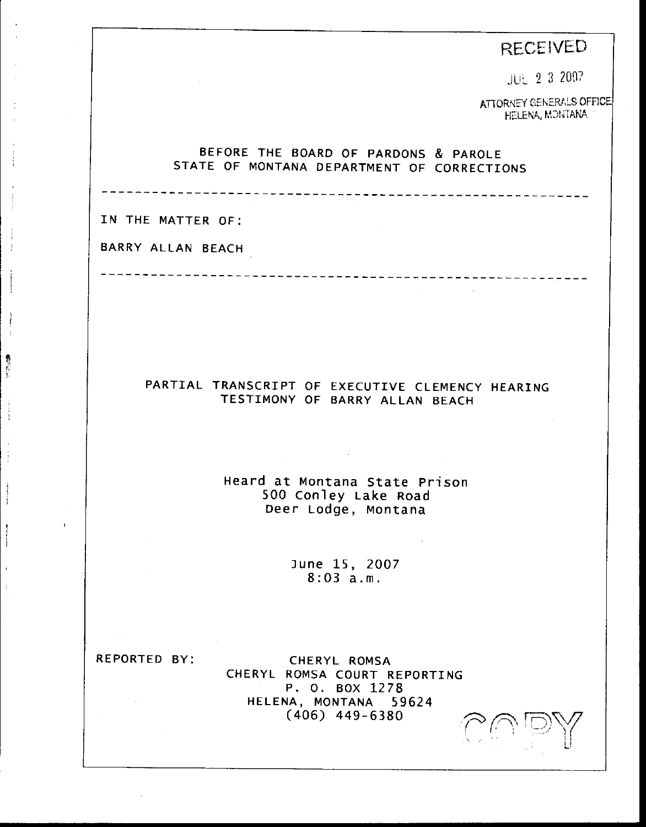# **RECEIVED**

JUL 2 3 2007

ATTORNEY GENERALS OFFICE HELENA, MONTANA

#### BEFORE THE BOARD OF PARDONS & PAROLE STATE OF MONTANA DEPARTMENT OF CORRECTIONS

IN THE MATTER OF:

÷

最大 にっこう

BARRY ALLAN BEACH

PARTIAL TRANSCRIPT OF EXECUTIVE CLEMENCY HEARING

TESTIMONY OF BARRY ALLAN BEACH

Heard at Montana State prison 500 conley Lake Road Deer Lodge, Montana

> lune 15, 2OO7 8:03 a. <sup>m</sup>.

REPORTED BY: CHERYL ROMSA CHERYL ROMSA COURT REPORTING P. O. BOX <sup>1278</sup> HELENA, MONTANA <sup>59624</sup> (406) 449-6380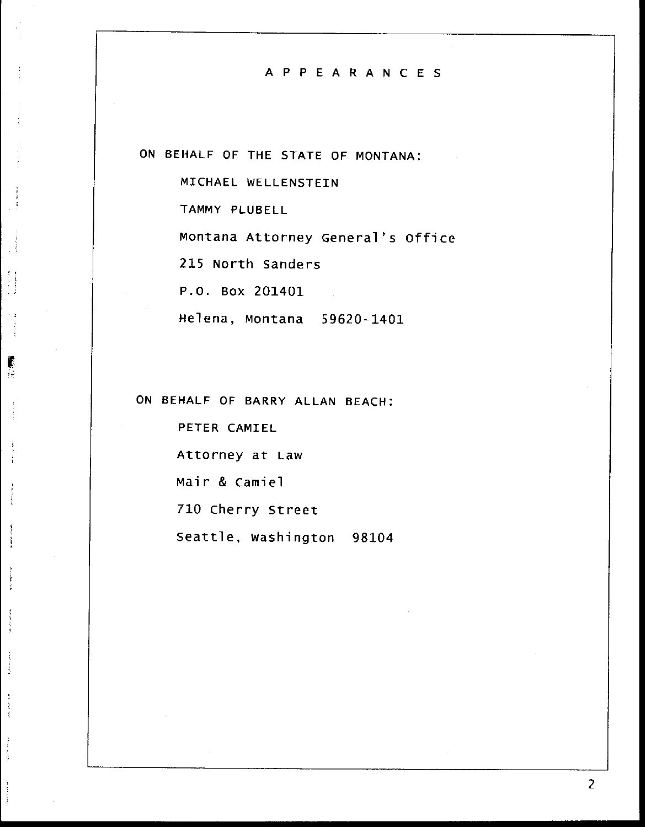#### APPEARANCES

ON BEHALF OF THE STATE OF MONTANA:

MICHAEL WELLENSTEIN

TAMMY PLUBELL

Montana Attorney General's Office

215 North Sanders

P.O. Box 201401

 $\frac{1}{2}$ 

麝 Ýè.

Helena, Montana 59620-1401

ON BEHALF OF BARRY ALLAN BEACH:

PETER CAMIEL Attorney at Law Mair & Camiel 710 Cherry Street Seattle, washington 98104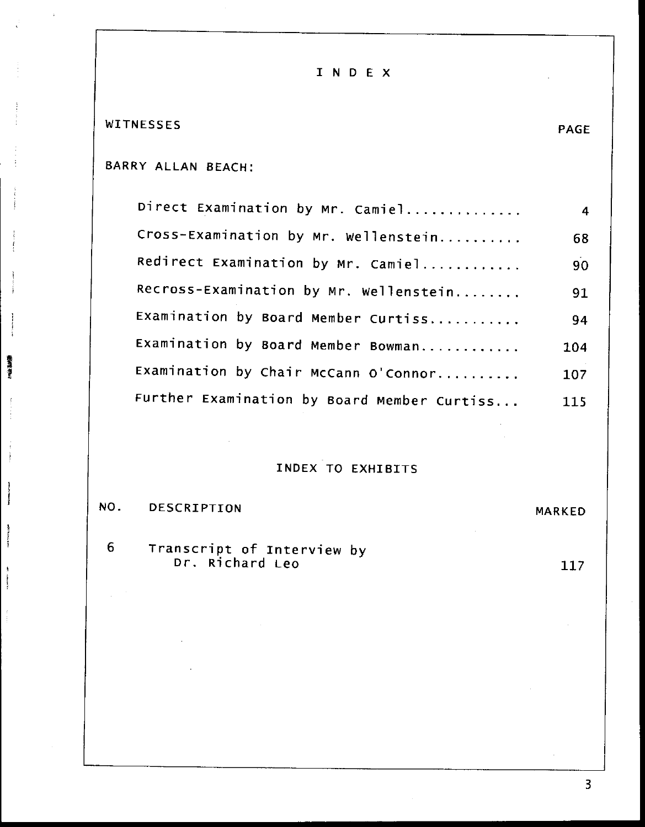INDEX

#### **WITNESSES**

Ī

**新闻学习** 

Ì

#### PAGE

# BARRY ALLAN BEACH:

| Direct Examination by Mr. Camiel            | $\overline{4}$ |
|---------------------------------------------|----------------|
| Cross-Examination by Mr. Wellenstein        | 68             |
| Redirect Examination by Mr. Camiel          | 90             |
| Recross-Examination by Mr. Wellenstein      | 91             |
| Examination by Board Member Curtiss         | 94             |
| Examination by Board Member Bowman          | 104            |
| Examination by Chair McCann O'Connor        | 107            |
| Further Examination by Board Member Curtiss | 115            |

#### INDEX TO EXHIBITS

#### NO. **DESCRIPTION** MARKED

Transcript of Interview by<br>Dr. Richard Leo  $6 -$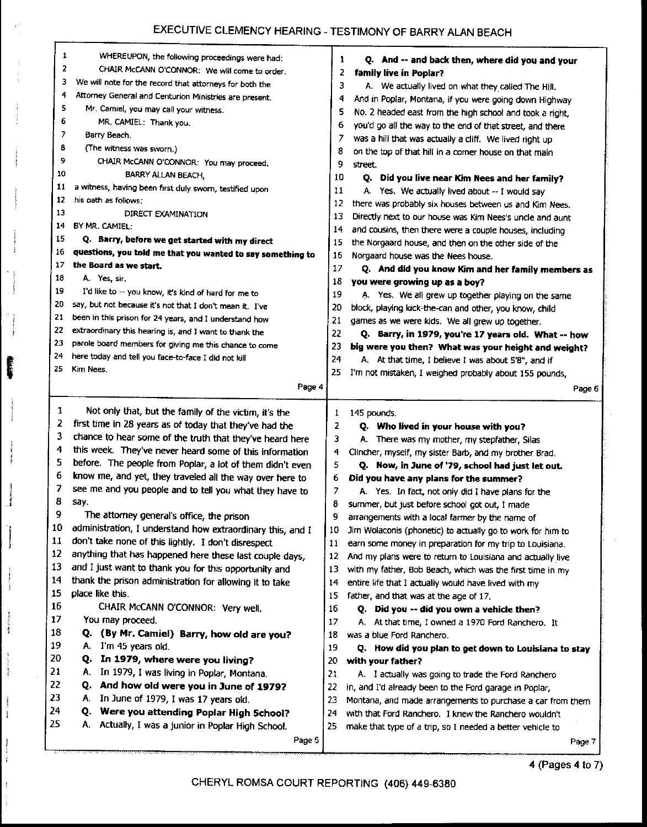# EXECUTIVE CLEMENCY HEARING - TESTIMONY OF BARRY ALAN BEACH

|    | 1<br>WHEREUPON, the following proceedings were had:<br>2<br>CHAIR McCANN O'CONNOR: We will come to order. | 1      | Q. And -- and back then, where did you and your                                                                       |
|----|-----------------------------------------------------------------------------------------------------------|--------|-----------------------------------------------------------------------------------------------------------------------|
|    | 3<br>We will note for the record that attorneys for both the                                              | 2<br>3 | family live in Poplar?                                                                                                |
|    | 4<br>Attorney General and Centurion Ministries are present.                                               | 4      | A. We actually lived on what they called The Hill.                                                                    |
|    | 5<br>Mr. Camiel, you may call your witness.                                                               | 5      | And in Poplar, Montana, if you were going down Highway                                                                |
|    | 6<br>MR. CAMIEL: Thank you.                                                                               | 6      | No. 2 headed east from the high school and took a right,<br>you'd go all the way to the end of that street, and there |
|    | 7<br>Barry Beach.                                                                                         | 7      | was a hill that was actually a cliff. We lived right up                                                               |
|    | 8<br>(The witness was sworn.)                                                                             | 8      | on the top of that hill in a corner house on that main                                                                |
|    | 9<br>CHAIR McCANN O'CONNOR: You may proceed.                                                              | 9      | street.                                                                                                               |
|    | 10<br>BARRY ALLAN BEACH,                                                                                  | 10     | Q. Did you live near Kim Nees and her family?                                                                         |
|    | 11<br>a witness, having been first duly swom, testified upon                                              | 11     | A. Yes. We actually lived about -- I would say                                                                        |
|    | 12<br>his oath as follows:                                                                                | 12     | there was probably six houses between us and Kim Nees.                                                                |
|    | 13<br>DIRECT EXAMINATION                                                                                  | 13     | Directly next to our house was Kim Nees's uncle and aunt                                                              |
|    | BY MR. CAMIEL:<br>14                                                                                      | 14     | and cousins, then there were a couple houses, including                                                               |
|    | 15<br>Q. Barry, before we get started with my direct                                                      | 15     | the Norgaard house, and then on the other side of the                                                                 |
|    | 16<br>questions, you told me that you wanted to say something to                                          | 16     | Norgaard house was the Nees house.                                                                                    |
|    | 17<br>the Board as we start.                                                                              | 17     | Q. And did you know Kim and her family members as                                                                     |
|    | 18<br>A. Yes, sir.                                                                                        | 18     | you were growing up as a boy?                                                                                         |
|    | 19<br>I'd like to -- you know, it's kind of hard for me to                                                | 19     | A. Yes. We all grew up together playing on the same                                                                   |
|    | 20<br>say, but not because it's not that I don't mean it. I've                                            | 20     | block, playing kick-the-can and other, you know, child                                                                |
|    | 21<br>been in this prison for 24 years, and I understand how                                              | 21     | games as we were kids. We all grew up together.                                                                       |
|    | 22<br>extraordinary this hearing is, and I want to thank the                                              | 22     | Q. Barry, in 1979, you're 17 years old. What -- how                                                                   |
| 23 | parole board members for giving me this chance to come                                                    | 23     | big were you then? What was your height and weight?                                                                   |
| 24 | here today and tell you face-to-face I did not kill                                                       | 24     | A. At that time, I believe I was about 5'8", and if                                                                   |
| 25 | Kim Nees.                                                                                                 | 25     | I'm not mistaken, I weighed probably about 155 pounds,                                                                |
|    | Page 4                                                                                                    |        | Page 6                                                                                                                |
|    |                                                                                                           |        |                                                                                                                       |
|    | 1<br>Not only that, but the family of the victim, it's the                                                | 1      | 145 pounds.                                                                                                           |
|    | 2<br>first time in 28 years as of today that they've had the                                              | 2      | Q. Who lived in your house with you?                                                                                  |
|    | 3<br>chance to hear some of the truth that they've heard here                                             | 3      | A. There was my mother, my stepfather, Silas                                                                          |
|    | 4<br>this week. They've never heard some of this information                                              | 4      | Clincher, myself, my sister Barb, and my brother Brad.                                                                |
|    | 5<br>before. The people from Poplar, a lot of them didn't even                                            | 5      | Q. Now, in June of '79, school had just let out.                                                                      |
| 6  | know me, and yet, they traveled all the way over here to                                                  | 6      | Did you have any plans for the summer?                                                                                |
| 7  | see me and you people and to tell you what they have to                                                   | 7      | A. Yes. In fact, not only did I have plans for the                                                                    |
| 8  | say.                                                                                                      | 8      | summer, but just before school got out, I made                                                                        |
| Q  | The attorney general's office, the prison                                                                 | 9      | arrangements with a local farmer by the name of                                                                       |
| 10 | administration, I understand how extraordinary this, and I                                                | 10     | Jim Wolaconis (phonetic) to actually go to work for him to                                                            |
| 11 | don't take none of this lightly. I don't disrespect                                                       | 11     | earn some money in preparation for my trip to Louisiana.                                                              |
| 12 | anything that has happened here these last couple days,                                                   | 12     | And my plans were to return to Louisiana and actually live                                                            |
| 13 | and I just want to thank you for this opportunity and                                                     | 13     | with my father, Bob Beach, which was the first time in my                                                             |
| 14 | thank the prison administration for allowing it to take                                                   | 14     | entire life that I actually would have lived with my                                                                  |
| 15 | place like this.                                                                                          | 15     | father, and that was at the age of 17.                                                                                |
| 16 | CHAIR McCANN O'CONNOR: Very well.                                                                         | 16     | Q. Did you -- did you own a vehicle then?                                                                             |
| 17 | You may proceed.                                                                                          | 17     | A. At that time, I owned a 1970 Ford Ranchero. It                                                                     |
| 18 | (By Mr. Camiel) Barry, how old are you?<br>O.                                                             | 18     | was a blue Ford Ranchero.                                                                                             |
| 19 | I'm 45 years old.<br>А.                                                                                   | 19     | Q. How did you plan to get down to Louisiana to stay                                                                  |
| 20 | In 1979, where were you living?<br>Ο.                                                                     | 20     | with your father?                                                                                                     |
| 21 | In 1979, I was living in Poplar, Montana.<br>А.                                                           | 21     | A. I actually was going to trade the Ford Ranchero                                                                    |
| 22 | And how old were you in June of 1979?<br>Q.                                                               | 22     | in, and I'd already been to the Ford garage in Poplar,                                                                |
| 23 | In June of 1979, I was 17 years old.<br>А.                                                                | 23     | Montana, and made arrangements to purchase a car from them                                                            |
| 24 | Were you attending Poplar High School?<br>Q.                                                              | 24     | with that Ford Ranchero. I knew the Ranchero wouldn't                                                                 |
| 25 | Actually, I was a junior in Poplar High School.<br>Α.                                                     | 25     | make that type of a trip, so I needed a better vehicle to                                                             |
|    |                                                                                                           |        |                                                                                                                       |
|    | Page 5                                                                                                    |        | Page 7                                                                                                                |

 $\sim$  MeVs.

**ARAN** 

Ĵ

j

÷

 $\frac{1}{2}$ 

Ĵ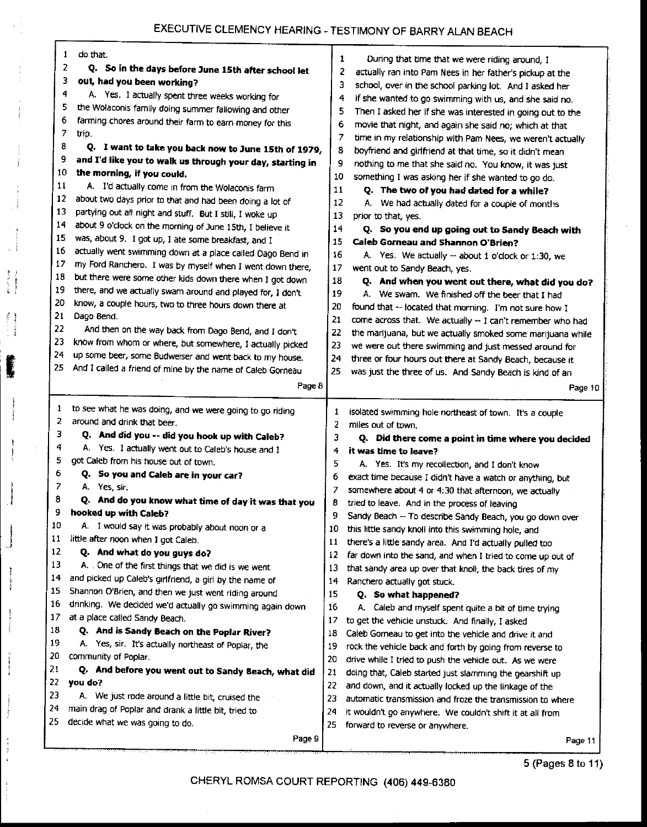# EXECUTIVE CLEMENCY HEARING - TESTIMONY OF BARRY ALAN BEACH

|     | do that.<br>1                                                                               | 1  |                                                            |
|-----|---------------------------------------------------------------------------------------------|----|------------------------------------------------------------|
|     | 2<br>Q. So in the days before June 15th after school let                                    | 2  | During that time that we were riding around, I             |
|     | 3<br>out, had you been working?                                                             | з  | actually ran into Pam Nees in her father's pickup at the   |
|     | 4<br>A. Yes. I actually spent three weeks working for                                       |    | school, over in the school parking lot. And I asked her    |
|     | 5<br>the Wolaconis family doing summer fallowing and other                                  | 4  | if she wanted to go swimming with us, and she said no.     |
|     | 6<br>farming chores around their farm to earn money for this                                | 5  | Then I asked her if she was interested in going out to the |
|     | 7<br>trip.                                                                                  | 6  | movie that night, and again she said no; which at that     |
|     | 8                                                                                           | 7  | time in my relationship with Pam Nees, we weren't actually |
| 9   | Q. I want to take you back now to June 15th of 1979,                                        | 8  | boyfriend and girlfriend at that time, so it didn't mean   |
| 10  | and I'd like you to walk us through your day, starting in<br>the morning, if you could.     | 9  | nothing to me that she said no. You know, it was just      |
| 11  |                                                                                             | 10 | something I was asking her if she wanted to go do.         |
| 12  | A. I'd actually come in from the Wolaconis farm                                             | 11 | Q. The two of you had dated for a while?                   |
| 13  | about two days prior to that and had been doing a lot of                                    | 12 | A. We had actually dated for a couple of months            |
| 14  | partying out all night and stuff. But I still, I woke up                                    | 13 | prior to that, yes.                                        |
|     | about 9 o'clock on the morning of June 15th, I believe it                                   | 14 | Q. So you end up going out to Sandy Beach with             |
| 15  | was, about 9. I got up, I ate some breakfast, and I                                         | 15 | Caleb Gorneau and Shannon O'Brien?                         |
| 16  | actually went swimming down at a place called Dago Bend in                                  | 16 | A. Yes. We actually -- about 1 o'clock or 1:30, we         |
| 17  | my Ford Ranchero. I was by myself when I went down there,                                   | 17 | went out to Sandy Beach, yes.                              |
| 18  | but there were some other kids down there when I got down                                   | 18 | Q. And when you went out there, what did you do?           |
| 19  | there, and we actually swam around and played for, I don't                                  | 19 | A. We swam. We finished off the beer that I had            |
| 20  | know, a couple hours, two to three hours down there at                                      | 20 | found that -- located that morning. I'm not sure how I     |
| 21  | Dago Bend.                                                                                  | 21 | come across that. We actually -- I can't remember who had  |
| 22  | And then on the way back from Dago Bend, and I don't                                        | 22 | the marijuana, but we actually smoked some marijuana while |
| 23  | know from whom or where, but somewhere, I actually picked                                   | 23 | we were out there swimming and just messed around for      |
| 24  | up some beer, some Budweiser and went back to my house.                                     | 24 | three or four hours out there at Sandy Beach, because it   |
| 25  | And I called a friend of mine by the name of Caleb Gorneau                                  | 25 | was just the three of us. And Sandy Beach is kind of an    |
|     | Page 8                                                                                      |    | Page 10                                                    |
|     |                                                                                             |    |                                                            |
| 1   | to see what he was doing, and we were going to go riding                                    | 1  | isolated swimming hole northeast of town. It's a couple    |
| 2   | around and drink that beer.                                                                 | 2  | miles out of town.                                         |
| 3   | Q. And did you -- did you hook up with Caleb?                                               | 3  | Q. Did there come a point in time where you decided        |
| 4   | A. Yes. I actually went out to Caleb's house and I                                          | 4  | it was time to leave?                                      |
| 5   | got Caleb from his house out of town.                                                       | 5  | A. Yes. It's my recollection, and I don't know             |
| 6   | Q. So you and Caleb are in your car?                                                        | 6  | exact time because I didn't have a watch or anything, but  |
| 7   | A. Yes, sir.                                                                                | 7  | somewhere about 4 or 4:30 that afternoon, we actually      |
| 8   | Q. And do you know what time of day it was that you                                         | 8  | tried to leave. And in the process of leaving              |
| 9   | hooked up with Caleb?                                                                       | q  | Sandy Beach -- To describe Sandy Beach, you go down over   |
| 10  | A. I would say it was probably about noon or a                                              | 10 | this little sandy knoll into this swimming hole, and       |
| 11  | little after noon when I got Caleb.                                                         | 11 | there's a little sandy area. And I'd actually pulled too   |
| 12  | Q. And what do you guys do?                                                                 | 12 | far down into the sand, and when I tried to come up out of |
| 13  | A. One of the first things that we did is we went                                           | 13 | that sandy area up over that knoll, the back tires of my   |
| 14  |                                                                                             |    |                                                            |
|     |                                                                                             | 14 |                                                            |
| 15  | and picked up Caleb's girlfriend, a girl by the name of                                     | 15 | Ranchero actually got stuck.                               |
| 16  | Shannon O'Brien, and then we just went riding around                                        |    | Q. So what happened?                                       |
| 17  | drinking. We decided we'd actually go swimming again down<br>at a place called Sandy Beach. | 16 | A. Caleb and myself spent quite a bit of time trying       |
| 18  |                                                                                             | 17 | to get the vehicle unstuck. And finally, I asked           |
| 19  | Q. And is Sandy Beach on the Poplar River?                                                  | 18 | Caleb Gorneau to get into the vehicle and drive it and     |
| 20  | A. Yes, sir. It's actually northeast of Poplar, the<br>community of Poplar.                 | 19 | rock the vehicle back and forth by going from reverse to   |
| 21  |                                                                                             | 20 | drive while I tried to push the vehicle out. As we were    |
| 22  | Q. And before you went out to Sandy Beach, what did<br>you do?                              | 21 | doing that, Caleb started just slamming the gearshift up   |
| 23  |                                                                                             | 22 | and down, and it actually locked up the linkage of the     |
| 24  | A. We just rode around a little bit, cruised the                                            | 23 | automatic transmission and froze the transmission to where |
| 25. | main drag of Poplar and drank a little bit, tried to                                        | 24 | it wouldn't go anywhere. We couldn't shift it at all from  |
|     | decide what we was going to do.<br>Page 9                                                   | 25 | forward to reverse or anywhere.<br>Page 11                 |

i

 $\mathcal{L}_{\text{target}}$ 

i<br>Sistema

产于  $\sum_{i=1}^{n}$ 

ŧ

5 (Pages 8 to 11)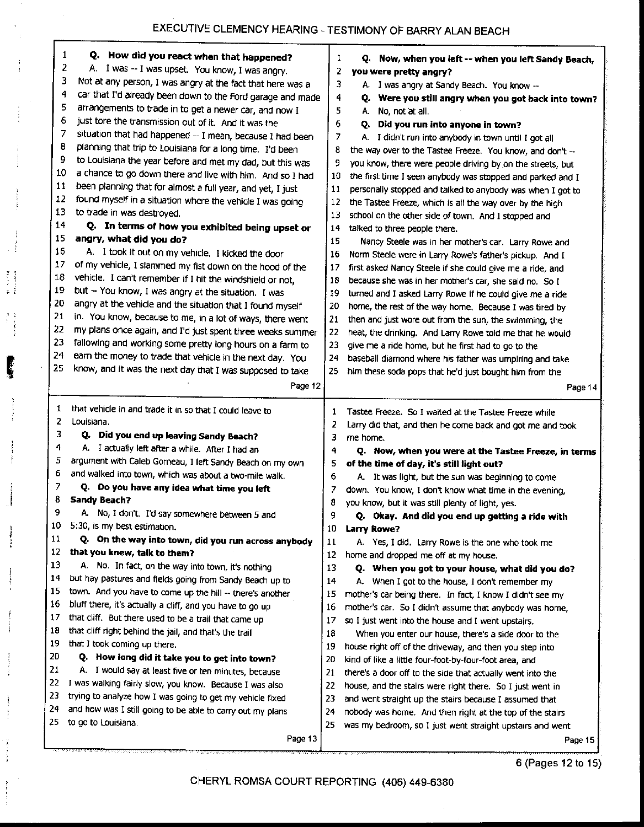|        | 1<br>Q. How did you react when that happened?                                                                      | 1        | Q. Now, when you left -- when you left Sandy Beach,                  |
|--------|--------------------------------------------------------------------------------------------------------------------|----------|----------------------------------------------------------------------|
|        | 2<br>A. I was -- I was upset. You know, I was angry.                                                               | 2        | you were pretty angry?                                               |
|        | з<br>Not at any person, I was angry at the fact that here was a                                                    | 3        | A. I was angry at Sandy Beach. You know --                           |
|        | 4<br>car that I'd already been down to the Ford garage and made                                                    | 4        | Were you still angry when you got back into town?<br>Q.              |
|        | 5<br>arrangements to trade in to get a newer car, and now I                                                        | 5        | No, not at all.<br>А.                                                |
| 6      | just tore the transmission out of it. And it was the                                                               | 6        | Did you run into anyone in town?<br>Q.                               |
|        | 7<br>situation that had happened -- I mean, because I had been                                                     | 7        | A. I didn't run into anybody in town until I got all                 |
| 8      | planning that trip to Louisiana for a long time. I'd been                                                          | 8        | the way over to the Tastee Freeze. You know, and don't --            |
| 9      | to Louisiana the year before and met my dad, but this was                                                          | 9        | you know, there were people driving by on the streets, but           |
| 10     | a chance to go down there and live with him. And so I had                                                          | 10       | the first time I seen anybody was stopped and parked and I           |
| 11     | been planning that for almost a full year, and yet, I just                                                         | 11       | personally stopped and talked to anybody was when I got to           |
| 12     | found myself in a situation where the vehicle I was going                                                          | 12       | the Tastee Freeze, which is all the way over by the high             |
| 13     | to trade in was destroyed.                                                                                         | 13       | school on the other side of town. And I stopped and                  |
| 14     | Q. In terms of how you exhibited being upset or                                                                    | 14       | talked to three people there.                                        |
| 15     | angry, what did you do?                                                                                            | 15       | Nancy Steele was in her mother's car. Larry Rowe and                 |
| 16     | A. I took it out on my vehicle. I kicked the door                                                                  | 16       | Norm Steele were in Larry Rowe's father's pickup. And I              |
| 17     | of my vehicle, I slammed my fist down on the hood of the                                                           | 17       | first asked Nancy Steele if she could give me a ride, and            |
| 18     | vehicle. I can't remember if I hit the windshield or not,                                                          | 18       | because she was in her mother's car, she said no. So I               |
| 19     | but -- You know, I was angry at the situation. I was                                                               | 19       | turned and I asked Larry Rowe if he could give me a ride             |
| 20     | angry at the vehicle and the situation that I found myself                                                         | 20       | home, the rest of the way home. Because I was tired by               |
| 21     | in. You know, because to me, in a lot of ways, there went                                                          | 21       | then and just wore out from the sun, the swimming, the               |
| 22     | my plans once again, and I'd just spent three weeks summer                                                         | 22       | heat, the drinking. And Larry Rowe told me that he would             |
| 23     | fallowing and working some pretty long hours on a farm to                                                          | 23       | give me a ride home, but he first had to go to the                   |
| 24     | earn the money to trade that vehicle in the next day. You                                                          | 24       | baseball diamond where his father was umpiring and take              |
| 25     | know, and it was the next day that I was supposed to take                                                          | 25       | him these soda pops that he'd just bought him from the               |
|        | Page 12                                                                                                            |          | Page 14                                                              |
|        |                                                                                                                    |          |                                                                      |
| 1      | that vehicle in and trade it in so that I could leave to                                                           | 1        | Tastee Freeze. So I waited at the Tastee Freeze while                |
| 2      | Louisiana.                                                                                                         | 2        | Larry did that, and then he come back and got me and took            |
| 3      | Q. Did you end up leaving Sandy Beach?                                                                             | з        | me home.                                                             |
| 4      | A. I actually left after a while. After I had an                                                                   | 4        | Q. Now, when you were at the Tastee Freeze, in terms                 |
| 5      | argument with Caleb Gorneau, I left Sandy Beach on my own                                                          | 5        | of the time of day, it's still light out?                            |
| 6      | and walked into town, which was about a two-mile walk.                                                             | 6        | A. It was light, but the sun was beginning to come                   |
| 7<br>8 | Q. Do you have any idea what time you left                                                                         | 7        | down. You know, I don't know what time in the evening,               |
| 9      | <b>Sandy Beach?</b>                                                                                                | 8        | you know, but it was still plenty of light, yes.                     |
| 10     | A. No, I don't. I'd say somewhere between 5 and                                                                    | 9        | Q. Okay. And did you end up getting a ride with                      |
| 11     | 5:30, is my best estimation.                                                                                       | 10       | Larry Rowe?                                                          |
| 12     | Q. On the way into town, did you run across anybody<br>that you knew, talk to them?                                | 11       | A. Yes, I did. Larry Rowe is the one who took me                     |
| 13     |                                                                                                                    | 12       | home and dropped me off at my house.                                 |
| 14     | A. No. In fact, on the way into town, it's nothing<br>but hay pastures and fields going from Sandy Beach up to     | 13       | Q. When you got to your house, what did you do?                      |
| 15     |                                                                                                                    | 14       | A. When I got to the house, I don't remember my                      |
| 16     | town. And you have to come up the hill -- there's another                                                          | 15       | mother's car being there. In fact, I know I didn't see my            |
| 17     | bluff there, it's actually a cliff, and you have to go up<br>that cliff. But there used to be a trail that came up | 16       | mother's car. So I didn't assume that anybody was home,              |
| 18     | that cliff right behind the jail, and that's the trail                                                             | 17       | so I just went into the house and I went upstairs.                   |
| 19     | that I took coming up there.                                                                                       | 18       | When you enter our house, there's a side door to the                 |
| 20     |                                                                                                                    | 19       | house right off of the driveway, and then you step into              |
| 21     | Q. How long did it take you to get into town?                                                                      | 20<br>21 | kind of like a little four-foot-by-four-foot area, and               |
|        |                                                                                                                    |          | there's a door off to the side that actually went into the           |
|        | A. I would say at least five or ten minutes, because                                                               |          |                                                                      |
| 22     | I was walking fairly slow, you know. Because I was also                                                            | 22       | house, and the stairs were right there. So I just went in            |
| 23     | trying to analyze how I was going to get my vehicle fixed                                                          | 23       | and went straight up the stairs because I assumed that               |
| 24     | and how was I still going to be able to carry out my plans                                                         | 24       | nobody was home. And then right at the top of the stairs             |
| 25     | to go to Louisiana.<br>Page 13                                                                                     | 25       | was my bedroom, so I just went straight upstairs and went<br>Page 15 |

i i

Ç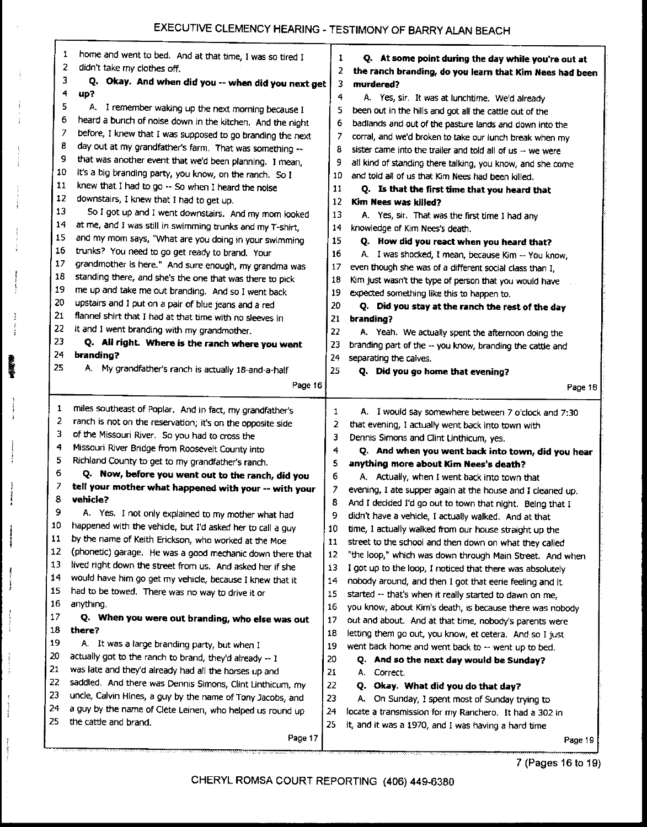I

 $\ddot{\ddot{\xi}}$ 

 $\frac{1}{2}$  $\frac{1}{2}$ 

医蜂蜜

 $\frac{1}{k}$ 

j

ł  $\frac{1}{2}$ 

j.

 $\hat{\boldsymbol{j}}$ 

| 1        | home and went to bed. And at that time, I was so tired I                                                     | 1        | Q. At some point during the day while you're out at        |  |
|----------|--------------------------------------------------------------------------------------------------------------|----------|------------------------------------------------------------|--|
| 2        | didn't take my clothes off.                                                                                  | 2        | the ranch branding, do you learn that Kim Nees had been    |  |
| 3        | Q. Okay. And when did you -- when did you next get                                                           | 3.       | murdered?                                                  |  |
| 4        | up?                                                                                                          | 4        | A. Yes, sir. It was at lunchtime. We'd already             |  |
| 5        | A. I remember waking up the next morning because I                                                           | 5        | been out in the hills and got all the cattle out of the    |  |
| 6        | heard a bunch of noise down in the kitchen. And the night                                                    | 6        | badlands and out of the pasture lands and down into the    |  |
| 7        | before, I knew that I was supposed to go branding the next                                                   | 7        | corral, and we'd broken to take our lunch break when my    |  |
| 8        | day out at my grandfather's farm. That was something --                                                      | 8        | sister came into the trailer and told all of us -- we were |  |
| 9        | that was another event that we'd been planning. I mean,                                                      | 9        | all kind of standing there talking, you know, and she come |  |
| 10       | it's a big branding party, you know, on the ranch. So I                                                      | 10       | and told all of us that Kim Nees had been killed.          |  |
| 11       | knew that I had to go -- So when I heard the noise                                                           | 11       | Q. Is that the first time that you heard that              |  |
| 12       | downstairs, I knew that I had to get up.                                                                     | 12       | Kim Nees was killed?                                       |  |
| 13       | So I got up and I went downstairs. And my mom looked                                                         | 13       | A. Yes, sir. That was the first time I had any             |  |
| 14       | at me, and I was still in swimming trunks and my T-shirt,                                                    | 14       | knowledge of Kim Nees's death.                             |  |
| 15       | and my mom says, "What are you doing in your swimming                                                        | 15       | Q. How did you react when you heard that?                  |  |
| 16       | trunks? You need to go get ready to brand. Your                                                              | 16       | A. I was shocked, I mean, because Kim -- You know,         |  |
| 17       | grandmother is here." And sure enough, my grandma was                                                        | 17       | even though she was of a different social class than I,    |  |
| 18       | standing there, and she's the one that was there to pick                                                     | 18       | Kim just wasn't the type of person that you would have     |  |
| 19       | me up and take me out branding. And so I went back                                                           | 19       | expected something like this to happen to.                 |  |
| 20       | upstairs and I put on a pair of blue jeans and a red                                                         | 20       | Q. Did you stay at the ranch the rest of the day           |  |
| 21       | flannel shirt that I had at that time with no sleeves in                                                     | 21       | branding?                                                  |  |
| 22<br>23 | it and I went branding with my grandmother.                                                                  | 22       | A. Yeah. We actually spent the afternoon doing the         |  |
| 24       | Q. All right. Where is the ranch where you went                                                              | 23       | branding part of the -- you know, branding the cattle and  |  |
| 25       | branding?                                                                                                    | 24       | separating the calves.                                     |  |
|          | A. My grandfather's ranch is actually 18-and-a-half                                                          | 25       | Q. Did you go home that evening?                           |  |
|          | Page 16                                                                                                      |          | Page 18                                                    |  |
| 1        | miles southeast of Poplar. And in fact, my grandfather's                                                     | 1        | A. I would say somewhere between 7 o'clock and 7:30        |  |
| 2        | ranch is not on the reservation; it's on the opposite side                                                   | 2        | that evening, I actually went back into town with          |  |
| 3        | of the Missouri River. So you had to cross the                                                               | 3        | Dennis Simons and Clint Linthicum, yes.                    |  |
| 4        | Missouri River Bridge from Roosevelt County into                                                             | 4        | Q. And when you went back into town, did you hear          |  |
| 5        | Richland County to get to my grandfather's ranch.                                                            | 5        | anything more about Kim Nees's death?                      |  |
| 6        | Q. Now, before you went out to the ranch, did you                                                            | 6        | A. Actually, when I went back into town that               |  |
| 7        | tell your mother what happened with your -- with your                                                        | 7        | evening. I ate supper again at the house and I cleaned up. |  |
| 8        | vehicle?                                                                                                     | 8        | And I decided I'd go out to town that night. Being that I  |  |
| 9        | A. Yes. I not only explained to my mother what had                                                           | 9        | didn't have a vehicle, I actually walked. And at that      |  |
| 10<br>11 | happened with the vehicle, but I'd asked her to call a guy                                                   | 10       | time, I actually walked from our house straight up the     |  |
| 12       | by the name of Keith Erickson, who worked at the Moe                                                         | 11       | street to the school and then down on what they called     |  |
| 13       | (phonetic) garage. He was a good mechanic down there that                                                    | 12       | "the loop," which was down through Main Street. And when   |  |
| 14       | lived right down the street from us. And asked her if she                                                    | 13       | I got up to the loop, I noticed that there was absolutely  |  |
| 15       | would have him go get my vehicle, because I knew that it<br>had to be towed. There was no way to drive it or | 14       | nobody around, and then I got that eerie feeling and it.   |  |
| 16       | anything.                                                                                                    | 15       | started -- that's when it really started to dawn on me,    |  |
| 17       |                                                                                                              | 16       | you know, about Kim's death, is because there was nobody   |  |
| 18       | Q. When you were out branding, who else was out<br>there?                                                    | 17       | out and about. And at that time, nobody's parents were     |  |
| 19       | A. It was a large branding party, but when I                                                                 | 18       | letting them go out, you know, et cetera. And so I just    |  |
| 20       | actually got to the ranch to brand, they'd already -- I                                                      | 19       | went back home and went back to -- went up to bed.         |  |
| 21       | was late and they'd already had all the horses up and                                                        | 20       | Q. And so the next day would be Sunday?                    |  |
| 22       | saddled. And there was Dennis Simons, Clint Linthicum, my                                                    | 21       | Correct.<br>А.                                             |  |
| 23       | uncle, Calvin Hines, a guy by the name of Tony Jacobs, and                                                   | 22       | Q. Okay. What did you do that day?                         |  |
| 24       | a guy by the name of Clete Leinen, who helped us round up                                                    | 23       | A. On Sunday, I spent most of Sunday trying to             |  |
| 25       | the cattle and brand.                                                                                        | 24<br>25 | locate a transmission for my Ranchero. It had a 302 in     |  |
|          |                                                                                                              |          | it, and it was a 1970, and I was having a hard time        |  |
|          | Page 17                                                                                                      |          | Page 19                                                    |  |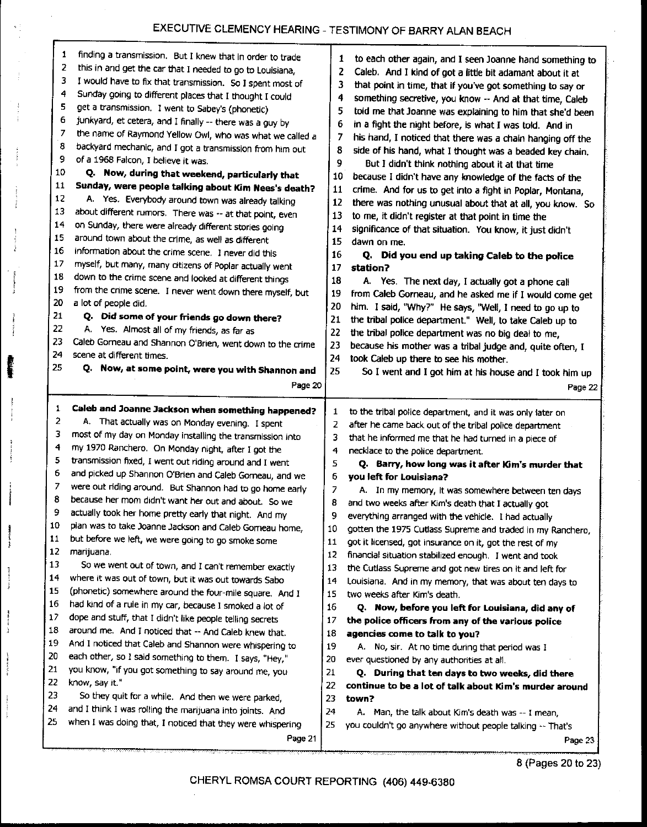# EXECUTIVE CLEMENCY HEARING - TESTIMONY OF BARRY ALAN BEACH

 $\mathbf{s}^{-1}$ 

Å

đ

I

्र<br>ह

Ì

f

| 10<br>11<br>12<br>13<br>14<br>15<br>16<br>17<br>18<br>19<br>20<br>21<br>22<br>23<br>24<br>25<br>1 | 2<br>this in and get the car that I needed to go to Louisiana,<br>3<br>I would have to fix that transmission. So I spent most of<br>4<br>Sunday going to different places that I thought I could<br>5<br>get a transmission. I went to Sabey's (phonetic)<br>6<br>junkyard, et cetera, and I finally -- there was a guy by<br>7<br>the name of Raymond Yellow Owl, who was what we called a<br>8<br>backyard mechanic, and I got a transmission from him out<br>9<br>of a 1968 Falcon, I believe it was.<br>Q. Now, during that weekend, particularly that<br>Sunday, were people talking about Kim Nees's death?<br>A. Yes. Everybody around town was already talking<br>about different rumors. There was -- at that point, even<br>on Sunday, there were already different stories going<br>around town about the crime, as well as different<br>information about the crime scene. I never did this<br>myself, but many, many citizens of Poplar actually went<br>down to the crime scene and looked at different things<br>from the crime scene. I never went down there myself, but<br>a lot of people did.<br>Q. Did some of your friends go down there?<br>A. Yes. Almost all of my friends, as far as<br>Caleb Gorneau and Shannon O'Brien, went down to the crime<br>scene at different times.<br>Q. Now, at some point, were you with Shannon and<br>Page 20<br>Caleb and Joanne Jackson when something happened? | 2<br>3<br>4<br>5<br>6<br>7<br>8<br>9<br>10<br>11<br>12<br>13<br>14<br>15<br>16<br>17<br>18<br>19<br>20<br>21<br>22<br>23<br>24<br>25 | Caleb. And I kind of got a little bit adamant about it at<br>that point in time, that if you've got something to say or<br>something secretive, you know -- And at that time, Caleb<br>told me that Joanne was explaining to him that she'd been<br>in a fight the night before, is what I was told. And in<br>his hand, I noticed that there was a chain hanging off the<br>side of his hand, what I thought was a beaded key chain.<br>But I didn't think nothing about it at that time<br>because I didn't have any knowledge of the facts of the<br>crime. And for us to get into a fight in Poplar, Montana,<br>there was nothing unusual about that at all, you know. So<br>to me, it didn't register at that point in time the<br>significance of that situation. You know, it just didn't<br>dawn on me.<br>Q. Did you end up taking Caleb to the police<br>station?<br>A. Yes. The next day, I actually got a phone call<br>from Caleb Gorneau, and he asked me if I would come get<br>him. I said, "Why?" He says, "Well, I need to go up to<br>the tribal police department." Well, to take Caleb up to<br>the tribal police department was no big deal to me,<br>because his mother was a tribal judge and, quite often, I<br>took Caleb up there to see his mother.<br>So I went and I got him at his house and I took him up<br>Page 22 |
|---------------------------------------------------------------------------------------------------|------------------------------------------------------------------------------------------------------------------------------------------------------------------------------------------------------------------------------------------------------------------------------------------------------------------------------------------------------------------------------------------------------------------------------------------------------------------------------------------------------------------------------------------------------------------------------------------------------------------------------------------------------------------------------------------------------------------------------------------------------------------------------------------------------------------------------------------------------------------------------------------------------------------------------------------------------------------------------------------------------------------------------------------------------------------------------------------------------------------------------------------------------------------------------------------------------------------------------------------------------------------------------------------------------------------------------------------------------------------------------------------------------------------------------|--------------------------------------------------------------------------------------------------------------------------------------|-------------------------------------------------------------------------------------------------------------------------------------------------------------------------------------------------------------------------------------------------------------------------------------------------------------------------------------------------------------------------------------------------------------------------------------------------------------------------------------------------------------------------------------------------------------------------------------------------------------------------------------------------------------------------------------------------------------------------------------------------------------------------------------------------------------------------------------------------------------------------------------------------------------------------------------------------------------------------------------------------------------------------------------------------------------------------------------------------------------------------------------------------------------------------------------------------------------------------------------------------------------------------------------------------------------------------------------------------------|
|                                                                                                   |                                                                                                                                                                                                                                                                                                                                                                                                                                                                                                                                                                                                                                                                                                                                                                                                                                                                                                                                                                                                                                                                                                                                                                                                                                                                                                                                                                                                                              | 1                                                                                                                                    |                                                                                                                                                                                                                                                                                                                                                                                                                                                                                                                                                                                                                                                                                                                                                                                                                                                                                                                                                                                                                                                                                                                                                                                                                                                                                                                                                       |
| 2                                                                                                 | A. That actually was on Monday evening. I spent                                                                                                                                                                                                                                                                                                                                                                                                                                                                                                                                                                                                                                                                                                                                                                                                                                                                                                                                                                                                                                                                                                                                                                                                                                                                                                                                                                              | 2                                                                                                                                    | to the tribal police department, and it was only later on<br>after he came back out of the tribal police department                                                                                                                                                                                                                                                                                                                                                                                                                                                                                                                                                                                                                                                                                                                                                                                                                                                                                                                                                                                                                                                                                                                                                                                                                                   |
| 3                                                                                                 | most of my day on Monday installing the transmission into                                                                                                                                                                                                                                                                                                                                                                                                                                                                                                                                                                                                                                                                                                                                                                                                                                                                                                                                                                                                                                                                                                                                                                                                                                                                                                                                                                    | 3                                                                                                                                    | that he informed me that he had turned in a piece of                                                                                                                                                                                                                                                                                                                                                                                                                                                                                                                                                                                                                                                                                                                                                                                                                                                                                                                                                                                                                                                                                                                                                                                                                                                                                                  |
| 4                                                                                                 | my 1970 Ranchero. On Monday night, after I got the                                                                                                                                                                                                                                                                                                                                                                                                                                                                                                                                                                                                                                                                                                                                                                                                                                                                                                                                                                                                                                                                                                                                                                                                                                                                                                                                                                           | 4                                                                                                                                    | necklace to the police department.                                                                                                                                                                                                                                                                                                                                                                                                                                                                                                                                                                                                                                                                                                                                                                                                                                                                                                                                                                                                                                                                                                                                                                                                                                                                                                                    |
| 5<br>6                                                                                            | transmission fixed, I went out riding around and I went                                                                                                                                                                                                                                                                                                                                                                                                                                                                                                                                                                                                                                                                                                                                                                                                                                                                                                                                                                                                                                                                                                                                                                                                                                                                                                                                                                      | 5                                                                                                                                    | Q. Barry, how long was it after Kim's murder that                                                                                                                                                                                                                                                                                                                                                                                                                                                                                                                                                                                                                                                                                                                                                                                                                                                                                                                                                                                                                                                                                                                                                                                                                                                                                                     |
| 7                                                                                                 | and picked up Shannon O'Brien and Caleb Gomeau, and we                                                                                                                                                                                                                                                                                                                                                                                                                                                                                                                                                                                                                                                                                                                                                                                                                                                                                                                                                                                                                                                                                                                                                                                                                                                                                                                                                                       | 6                                                                                                                                    | you left for Louisiana?                                                                                                                                                                                                                                                                                                                                                                                                                                                                                                                                                                                                                                                                                                                                                                                                                                                                                                                                                                                                                                                                                                                                                                                                                                                                                                                               |
| 8                                                                                                 | were out riding around. But Shannon had to go home early                                                                                                                                                                                                                                                                                                                                                                                                                                                                                                                                                                                                                                                                                                                                                                                                                                                                                                                                                                                                                                                                                                                                                                                                                                                                                                                                                                     | 7                                                                                                                                    | A. In my memory, it was somewhere between ten days                                                                                                                                                                                                                                                                                                                                                                                                                                                                                                                                                                                                                                                                                                                                                                                                                                                                                                                                                                                                                                                                                                                                                                                                                                                                                                    |
| 9                                                                                                 | because her mom didn't want her out and about. So we                                                                                                                                                                                                                                                                                                                                                                                                                                                                                                                                                                                                                                                                                                                                                                                                                                                                                                                                                                                                                                                                                                                                                                                                                                                                                                                                                                         | 8<br>q                                                                                                                               | and two weeks after Kim's death that I actually got                                                                                                                                                                                                                                                                                                                                                                                                                                                                                                                                                                                                                                                                                                                                                                                                                                                                                                                                                                                                                                                                                                                                                                                                                                                                                                   |
| 10                                                                                                | actually took her home pretty early that night. And my                                                                                                                                                                                                                                                                                                                                                                                                                                                                                                                                                                                                                                                                                                                                                                                                                                                                                                                                                                                                                                                                                                                                                                                                                                                                                                                                                                       | 10                                                                                                                                   | everything arranged with the vehicle. I had actually                                                                                                                                                                                                                                                                                                                                                                                                                                                                                                                                                                                                                                                                                                                                                                                                                                                                                                                                                                                                                                                                                                                                                                                                                                                                                                  |
| 11                                                                                                | plan was to take Joanne Jackson and Caleb Gomeau home,<br>but before we left, we were going to go smoke some                                                                                                                                                                                                                                                                                                                                                                                                                                                                                                                                                                                                                                                                                                                                                                                                                                                                                                                                                                                                                                                                                                                                                                                                                                                                                                                 | 11                                                                                                                                   | gotten the 1975 Cutlass Supreme and traded in my Ranchero,                                                                                                                                                                                                                                                                                                                                                                                                                                                                                                                                                                                                                                                                                                                                                                                                                                                                                                                                                                                                                                                                                                                                                                                                                                                                                            |
| 12                                                                                                | marijuana.                                                                                                                                                                                                                                                                                                                                                                                                                                                                                                                                                                                                                                                                                                                                                                                                                                                                                                                                                                                                                                                                                                                                                                                                                                                                                                                                                                                                                   | 12                                                                                                                                   | got it licensed, got insurance on it, got the rest of my                                                                                                                                                                                                                                                                                                                                                                                                                                                                                                                                                                                                                                                                                                                                                                                                                                                                                                                                                                                                                                                                                                                                                                                                                                                                                              |
| 13                                                                                                | So we went out of town, and I can't remember exactly                                                                                                                                                                                                                                                                                                                                                                                                                                                                                                                                                                                                                                                                                                                                                                                                                                                                                                                                                                                                                                                                                                                                                                                                                                                                                                                                                                         | 13                                                                                                                                   | financial situation stabilized enough. I went and took                                                                                                                                                                                                                                                                                                                                                                                                                                                                                                                                                                                                                                                                                                                                                                                                                                                                                                                                                                                                                                                                                                                                                                                                                                                                                                |
| 14                                                                                                | where it was out of town, but it was out towards Sabo                                                                                                                                                                                                                                                                                                                                                                                                                                                                                                                                                                                                                                                                                                                                                                                                                                                                                                                                                                                                                                                                                                                                                                                                                                                                                                                                                                        | 14                                                                                                                                   | the Cutlass Supreme and got new tires on it and left for                                                                                                                                                                                                                                                                                                                                                                                                                                                                                                                                                                                                                                                                                                                                                                                                                                                                                                                                                                                                                                                                                                                                                                                                                                                                                              |
| 15                                                                                                | (phonetic) somewhere around the four-mile square. And I                                                                                                                                                                                                                                                                                                                                                                                                                                                                                                                                                                                                                                                                                                                                                                                                                                                                                                                                                                                                                                                                                                                                                                                                                                                                                                                                                                      | 15                                                                                                                                   | Louisiana. And in my memory, that was about ten days to<br>two weeks after Kim's death.                                                                                                                                                                                                                                                                                                                                                                                                                                                                                                                                                                                                                                                                                                                                                                                                                                                                                                                                                                                                                                                                                                                                                                                                                                                               |
| 16                                                                                                | had kind of a rule in my car, because I smoked a lot of                                                                                                                                                                                                                                                                                                                                                                                                                                                                                                                                                                                                                                                                                                                                                                                                                                                                                                                                                                                                                                                                                                                                                                                                                                                                                                                                                                      | 16                                                                                                                                   | Q. Now, before you left for Louisiana, did any of                                                                                                                                                                                                                                                                                                                                                                                                                                                                                                                                                                                                                                                                                                                                                                                                                                                                                                                                                                                                                                                                                                                                                                                                                                                                                                     |
| 17                                                                                                | dope and stuff, that I didn't like people telling secrets                                                                                                                                                                                                                                                                                                                                                                                                                                                                                                                                                                                                                                                                                                                                                                                                                                                                                                                                                                                                                                                                                                                                                                                                                                                                                                                                                                    | 17                                                                                                                                   | the police officers from any of the various police                                                                                                                                                                                                                                                                                                                                                                                                                                                                                                                                                                                                                                                                                                                                                                                                                                                                                                                                                                                                                                                                                                                                                                                                                                                                                                    |
| 18                                                                                                | around me. And I noticed that -- And Caleb knew that.                                                                                                                                                                                                                                                                                                                                                                                                                                                                                                                                                                                                                                                                                                                                                                                                                                                                                                                                                                                                                                                                                                                                                                                                                                                                                                                                                                        | 18                                                                                                                                   | agencies come to talk to you?                                                                                                                                                                                                                                                                                                                                                                                                                                                                                                                                                                                                                                                                                                                                                                                                                                                                                                                                                                                                                                                                                                                                                                                                                                                                                                                         |
| 19                                                                                                | And I noticed that Caleb and Shannon were whispering to                                                                                                                                                                                                                                                                                                                                                                                                                                                                                                                                                                                                                                                                                                                                                                                                                                                                                                                                                                                                                                                                                                                                                                                                                                                                                                                                                                      | 19                                                                                                                                   | A. No, sir. At no time during that period was I                                                                                                                                                                                                                                                                                                                                                                                                                                                                                                                                                                                                                                                                                                                                                                                                                                                                                                                                                                                                                                                                                                                                                                                                                                                                                                       |
| 20                                                                                                | each other, so I said something to them. I says, "Hey,"                                                                                                                                                                                                                                                                                                                                                                                                                                                                                                                                                                                                                                                                                                                                                                                                                                                                                                                                                                                                                                                                                                                                                                                                                                                                                                                                                                      | 20                                                                                                                                   | ever questioned by any authorities at all.                                                                                                                                                                                                                                                                                                                                                                                                                                                                                                                                                                                                                                                                                                                                                                                                                                                                                                                                                                                                                                                                                                                                                                                                                                                                                                            |
| 21                                                                                                | you know, "if you got something to say around me, you                                                                                                                                                                                                                                                                                                                                                                                                                                                                                                                                                                                                                                                                                                                                                                                                                                                                                                                                                                                                                                                                                                                                                                                                                                                                                                                                                                        | 21                                                                                                                                   | Q. During that ten days to two weeks, did there                                                                                                                                                                                                                                                                                                                                                                                                                                                                                                                                                                                                                                                                                                                                                                                                                                                                                                                                                                                                                                                                                                                                                                                                                                                                                                       |
| 22                                                                                                | know, say it."                                                                                                                                                                                                                                                                                                                                                                                                                                                                                                                                                                                                                                                                                                                                                                                                                                                                                                                                                                                                                                                                                                                                                                                                                                                                                                                                                                                                               | 22                                                                                                                                   | continue to be a lot of talk about Kim's murder around                                                                                                                                                                                                                                                                                                                                                                                                                                                                                                                                                                                                                                                                                                                                                                                                                                                                                                                                                                                                                                                                                                                                                                                                                                                                                                |
| 23                                                                                                | So they quit for a while. And then we were parked,                                                                                                                                                                                                                                                                                                                                                                                                                                                                                                                                                                                                                                                                                                                                                                                                                                                                                                                                                                                                                                                                                                                                                                                                                                                                                                                                                                           | 23                                                                                                                                   | town?                                                                                                                                                                                                                                                                                                                                                                                                                                                                                                                                                                                                                                                                                                                                                                                                                                                                                                                                                                                                                                                                                                                                                                                                                                                                                                                                                 |
| 24                                                                                                | and I think I was rolling the marijuana into joints. And                                                                                                                                                                                                                                                                                                                                                                                                                                                                                                                                                                                                                                                                                                                                                                                                                                                                                                                                                                                                                                                                                                                                                                                                                                                                                                                                                                     | 24                                                                                                                                   | A. Man, the talk about Kim's death was -- I mean,                                                                                                                                                                                                                                                                                                                                                                                                                                                                                                                                                                                                                                                                                                                                                                                                                                                                                                                                                                                                                                                                                                                                                                                                                                                                                                     |
| <b>25</b>                                                                                         | when I was doing that, I noticed that they were whispering<br>Page 21                                                                                                                                                                                                                                                                                                                                                                                                                                                                                                                                                                                                                                                                                                                                                                                                                                                                                                                                                                                                                                                                                                                                                                                                                                                                                                                                                        | 25                                                                                                                                   | you couldn't go anywhere without people talking -- That's<br>Page 23                                                                                                                                                                                                                                                                                                                                                                                                                                                                                                                                                                                                                                                                                                                                                                                                                                                                                                                                                                                                                                                                                                                                                                                                                                                                                  |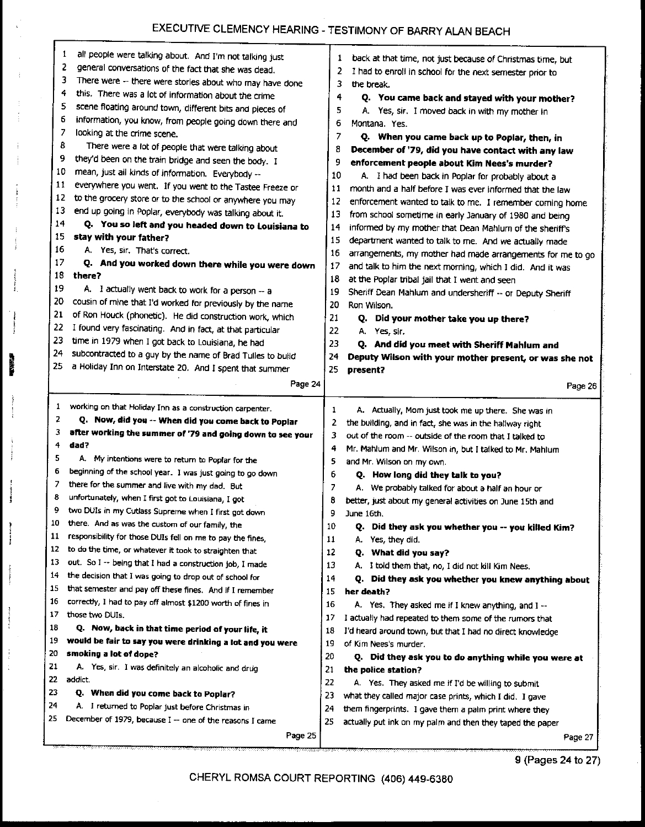# EXECUTIVE CLEMENCY HEARING - TESTIMONY OF BARRY ALAN BEACH

| 9<br>10  | 1<br>all people were talking about. And I'm not talking just<br>2<br>general conversations of the fact that she was dead.<br>3<br>There were -- there were stories about who may have done<br>4<br>this. There was a lot of information about the crime<br>5<br>scene floating around town, different bits and pieces of<br>6<br>information, you know, from people going down there and<br>7<br>looking at the crime scene.<br>8<br>There were a lot of people that were talking about<br>they'd been on the train bridge and seen the body. I<br>mean, just all kinds of information. Everybody -- | 1<br>2<br>3<br>4<br>5<br>6<br>7<br>8<br>9<br>10 | back at that time, not just because of Christmas time, but<br>I had to enroll in school for the next semester prior to<br>the break.<br>Q. You came back and stayed with your mother?<br>A. Yes, sir. I moved back in with my mother in<br>Montana. Yes.<br>Q. When you came back up to Poplar, then, in<br>December of '79, did you have contact with any law<br>enforcement people about Kim Nees's murder?<br>A. I had been back in Poplar for probably about a |
|----------|------------------------------------------------------------------------------------------------------------------------------------------------------------------------------------------------------------------------------------------------------------------------------------------------------------------------------------------------------------------------------------------------------------------------------------------------------------------------------------------------------------------------------------------------------------------------------------------------------|-------------------------------------------------|--------------------------------------------------------------------------------------------------------------------------------------------------------------------------------------------------------------------------------------------------------------------------------------------------------------------------------------------------------------------------------------------------------------------------------------------------------------------|
| 11       | everywhere you went. If you went to the Tastee Freeze or                                                                                                                                                                                                                                                                                                                                                                                                                                                                                                                                             | 11                                              | month and a half before I was ever informed that the law                                                                                                                                                                                                                                                                                                                                                                                                           |
| 12       | to the grocery store or to the school or anywhere you may                                                                                                                                                                                                                                                                                                                                                                                                                                                                                                                                            | 12                                              | enforcement wanted to talk to me. I remember coming home                                                                                                                                                                                                                                                                                                                                                                                                           |
| 13       | end up going in Poplar, everybody was talking about it.                                                                                                                                                                                                                                                                                                                                                                                                                                                                                                                                              | 13                                              | from school sometime in early January of 1980 and being                                                                                                                                                                                                                                                                                                                                                                                                            |
| 14       | Q. You so left and you headed down to Louisiana to                                                                                                                                                                                                                                                                                                                                                                                                                                                                                                                                                   | 14                                              | informed by my mother that Dean Mahlum of the sheriff's                                                                                                                                                                                                                                                                                                                                                                                                            |
| 15<br>16 | stay with your father?                                                                                                                                                                                                                                                                                                                                                                                                                                                                                                                                                                               | 15                                              | department wanted to talk to me. And we actually made                                                                                                                                                                                                                                                                                                                                                                                                              |
| 17       | A. Yes, sir. That's correct.                                                                                                                                                                                                                                                                                                                                                                                                                                                                                                                                                                         | 16                                              | arrangements, my mother had made arrangements for me to go                                                                                                                                                                                                                                                                                                                                                                                                         |
| 18       | Q. And you worked down there while you were down<br>there?                                                                                                                                                                                                                                                                                                                                                                                                                                                                                                                                           | 17                                              | and talk to him the next morning, which I did. And it was                                                                                                                                                                                                                                                                                                                                                                                                          |
| 19       | A. I actually went back to work for a person -- a                                                                                                                                                                                                                                                                                                                                                                                                                                                                                                                                                    | 18                                              | at the Poplar tribal jail that I went and seen                                                                                                                                                                                                                                                                                                                                                                                                                     |
| 20       | cousin of mine that I'd worked for previously by the name                                                                                                                                                                                                                                                                                                                                                                                                                                                                                                                                            | 19<br>20                                        | Sheriff Dean Mahlum and undersheriff -- or Deputy Sheriff<br>Ron Wilson.                                                                                                                                                                                                                                                                                                                                                                                           |
| 21       | of Ron Houck (phonetic). He did construction work, which                                                                                                                                                                                                                                                                                                                                                                                                                                                                                                                                             | 21                                              | Q. Did your mother take you up there?                                                                                                                                                                                                                                                                                                                                                                                                                              |
| 22       | I found very fascinating. And in fact, at that particular                                                                                                                                                                                                                                                                                                                                                                                                                                                                                                                                            | 22.                                             | A. Yes, sir.                                                                                                                                                                                                                                                                                                                                                                                                                                                       |
| 23       | time in 1979 when I got back to Louisiana, he had                                                                                                                                                                                                                                                                                                                                                                                                                                                                                                                                                    | 23                                              | Q. And did you meet with Sheriff Mahlum and                                                                                                                                                                                                                                                                                                                                                                                                                        |
| 24       | subcontracted to a guy by the name of Brad Tulles to build                                                                                                                                                                                                                                                                                                                                                                                                                                                                                                                                           | 24                                              | Deputy Wilson with your mother present, or was she not                                                                                                                                                                                                                                                                                                                                                                                                             |
| 25       | a Holiday Inn on Interstate 20. And I spent that summer                                                                                                                                                                                                                                                                                                                                                                                                                                                                                                                                              | 25                                              | present?                                                                                                                                                                                                                                                                                                                                                                                                                                                           |
|          | Page 24                                                                                                                                                                                                                                                                                                                                                                                                                                                                                                                                                                                              |                                                 | Page 26                                                                                                                                                                                                                                                                                                                                                                                                                                                            |
| 1        | working on that Holiday Inn as a construction carpenter.                                                                                                                                                                                                                                                                                                                                                                                                                                                                                                                                             | 1                                               | A. Actually, Mom just took me up there. She was in                                                                                                                                                                                                                                                                                                                                                                                                                 |
|          |                                                                                                                                                                                                                                                                                                                                                                                                                                                                                                                                                                                                      |                                                 |                                                                                                                                                                                                                                                                                                                                                                                                                                                                    |
| 2        | Q. Now, did you -- When did you come back to Poplar                                                                                                                                                                                                                                                                                                                                                                                                                                                                                                                                                  | 2                                               |                                                                                                                                                                                                                                                                                                                                                                                                                                                                    |
| з        | after working the summer of '79 and going down to see your                                                                                                                                                                                                                                                                                                                                                                                                                                                                                                                                           | з                                               | the building, and in fact, she was in the hallway right<br>out of the room -- outside of the room that I talked to                                                                                                                                                                                                                                                                                                                                                 |
| 4        | dad?                                                                                                                                                                                                                                                                                                                                                                                                                                                                                                                                                                                                 | 4                                               | Mr. Mahlum and Mr. Wilson in, but I talked to Mr. Mahlum                                                                                                                                                                                                                                                                                                                                                                                                           |
| 5        | A. My intentions were to return to Poplar for the                                                                                                                                                                                                                                                                                                                                                                                                                                                                                                                                                    | 5                                               | and Mr. Wilson on my own.                                                                                                                                                                                                                                                                                                                                                                                                                                          |
| 6        | beginning of the school year. I was just going to go down                                                                                                                                                                                                                                                                                                                                                                                                                                                                                                                                            | 6                                               | Q. How long did they talk to you?                                                                                                                                                                                                                                                                                                                                                                                                                                  |
| 7        | there for the summer and live with my dad. But                                                                                                                                                                                                                                                                                                                                                                                                                                                                                                                                                       | 7                                               | A. We probably talked for about a half an hour or                                                                                                                                                                                                                                                                                                                                                                                                                  |
| 8        | unfortunately, when I first got to Louisiana, I got                                                                                                                                                                                                                                                                                                                                                                                                                                                                                                                                                  | 8                                               | better, just about my general activities on June 15th and                                                                                                                                                                                                                                                                                                                                                                                                          |
| 9        | two DUIs in my Cutlass Supreme when I first got down                                                                                                                                                                                                                                                                                                                                                                                                                                                                                                                                                 | 9                                               | June 16th.                                                                                                                                                                                                                                                                                                                                                                                                                                                         |
| 10       | there. And as was the custom of our family, the                                                                                                                                                                                                                                                                                                                                                                                                                                                                                                                                                      | 10                                              | Q. Did they ask you whether you -- you killed Kim?                                                                                                                                                                                                                                                                                                                                                                                                                 |
| 11       | responsibility for those DUIs fell on me to pay the fines,                                                                                                                                                                                                                                                                                                                                                                                                                                                                                                                                           | 11                                              | A. Yes, they did.                                                                                                                                                                                                                                                                                                                                                                                                                                                  |
| 12       | to do the time, or whatever it took to straighten that                                                                                                                                                                                                                                                                                                                                                                                                                                                                                                                                               | 12                                              | Q. What did you say?                                                                                                                                                                                                                                                                                                                                                                                                                                               |
| 13<br>14 | out. So I -- being that I had a construction job, I made                                                                                                                                                                                                                                                                                                                                                                                                                                                                                                                                             | 13                                              | A. I told them that, no, I did not kill Kim Nees.                                                                                                                                                                                                                                                                                                                                                                                                                  |
| 15       | the decision that I was going to drop out of school for                                                                                                                                                                                                                                                                                                                                                                                                                                                                                                                                              | 14                                              | Q. Did they ask you whether you knew anything about                                                                                                                                                                                                                                                                                                                                                                                                                |
| 16       | that semester and pay off these fines. And if I remember                                                                                                                                                                                                                                                                                                                                                                                                                                                                                                                                             | 15                                              | her death?                                                                                                                                                                                                                                                                                                                                                                                                                                                         |
| 17       | correctly, I had to pay off almost \$1200 worth of fines in<br>those two DUIs.                                                                                                                                                                                                                                                                                                                                                                                                                                                                                                                       | 16                                              | A. Yes. They asked me if I knew anything, and I --                                                                                                                                                                                                                                                                                                                                                                                                                 |
| 18       | Q. Now, back in that time period of your life, it                                                                                                                                                                                                                                                                                                                                                                                                                                                                                                                                                    | 17                                              | I actually had repeated to them some of the rumors that                                                                                                                                                                                                                                                                                                                                                                                                            |
| 19       | would be fair to say you were drinking a lot and you were                                                                                                                                                                                                                                                                                                                                                                                                                                                                                                                                            | 18<br>19                                        | I'd heard around town, but that I had no direct knowledge<br>of Kim Nees's murder.                                                                                                                                                                                                                                                                                                                                                                                 |
| 20       | smoking a lot of dope?                                                                                                                                                                                                                                                                                                                                                                                                                                                                                                                                                                               | 20                                              |                                                                                                                                                                                                                                                                                                                                                                                                                                                                    |
| 21       | A. Yes, sir. I was definitely an alcoholic and drug                                                                                                                                                                                                                                                                                                                                                                                                                                                                                                                                                  | 21                                              | Q. Did they ask you to do anything while you were at<br>the police station?                                                                                                                                                                                                                                                                                                                                                                                        |
| 22       | addict.                                                                                                                                                                                                                                                                                                                                                                                                                                                                                                                                                                                              | 22                                              | A Yes. They asked me if I'd be willing to submit                                                                                                                                                                                                                                                                                                                                                                                                                   |
| 23       | Q. When did you come back to Poplar?                                                                                                                                                                                                                                                                                                                                                                                                                                                                                                                                                                 | 23                                              | what they called major case prints, which I did. I gave                                                                                                                                                                                                                                                                                                                                                                                                            |
| 24       | A. I returned to Poplar just before Christmas in                                                                                                                                                                                                                                                                                                                                                                                                                                                                                                                                                     | 24                                              | them fingerprints. I gave them a palm print where they                                                                                                                                                                                                                                                                                                                                                                                                             |
| 25       | December of 1979, because I -- one of the reasons I came                                                                                                                                                                                                                                                                                                                                                                                                                                                                                                                                             | 25                                              | actually put ink on my palm and then they taped the paper                                                                                                                                                                                                                                                                                                                                                                                                          |

Í

Ĵ

J

 $\frac{1}{2}$ 

CHERYL ROMSA COURT REPORTING (406) 449-6380

9 (Pages 24 to 27)